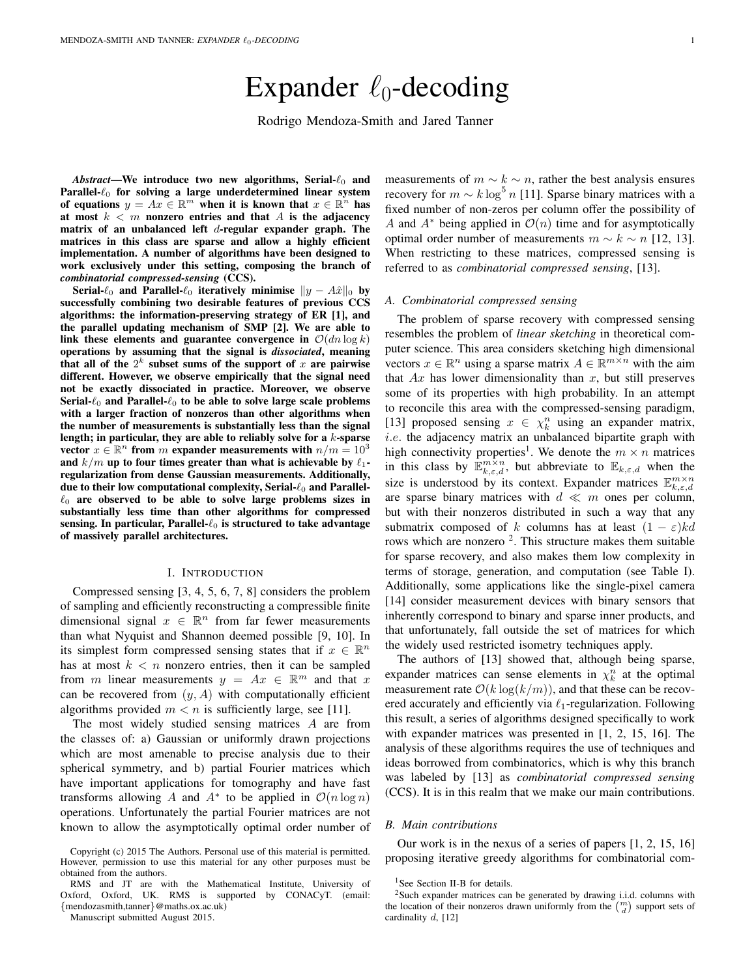# Expander  $\ell_0$ -decoding

Rodrigo Mendoza-Smith and Jared Tanner

 $Abstract$ —We introduce two new algorithms, Serial- $\ell_0$  and Parallel- $\ell_0$  for solving a large underdetermined linear system of equations  $y = Ax \in \mathbb{R}^m$  when it is known that  $x \in \mathbb{R}^n$  has at most  $k < m$  nonzero entries and that A is the adjacency matrix of an unbalanced left  $d$ -regular expander graph. The matrices in this class are sparse and allow a highly efficient implementation. A number of algorithms have been designed to work exclusively under this setting, composing the branch of *combinatorial compressed-sensing* (CCS).

Serial- $\ell_0$  and Parallel- $\ell_0$  iteratively minimise  $||y - A\hat{x}||_0$  by successfully combining two desirable features of previous CCS algorithms: the information-preserving strategy of ER [1], and the parallel updating mechanism of SMP [2]. We are able to link these elements and guarantee convergence in  $\mathcal{O}(dn \log k)$ operations by assuming that the signal is *dissociated*, meaning that all of the  $2^k$  subset sums of the support of x are pairwise different. However, we observe empirically that the signal need not be exactly dissociated in practice. Moreover, we observe Serial- $\ell_0$  and Parallel- $\ell_0$  to be able to solve large scale problems with a larger fraction of nonzeros than other algorithms when the number of measurements is substantially less than the signal length; in particular, they are able to reliably solve for a  $k$ -sparse vector  $x \in \mathbb{R}^n$  from m expander measurements with  $n/m = 10^3$ and  $k/m$  up to four times greater than what is achievable by  $\ell_1$ regularization from dense Gaussian measurements. Additionally, due to their low computational complexity, Serial- $\ell_0$  and Parallel- $\ell_0$  are observed to be able to solve large problems sizes in substantially less time than other algorithms for compressed sensing. In particular, Parallel- $\ell_0$  is structured to take advantage of massively parallel architectures.

#### I. INTRODUCTION

Compressed sensing [3, 4, 5, 6, 7, 8] considers the problem of sampling and efficiently reconstructing a compressible finite dimensional signal  $x \in \mathbb{R}^n$  from far fewer measurements than what Nyquist and Shannon deemed possible [9, 10]. In its simplest form compressed sensing states that if  $x \in \mathbb{R}^n$ has at most  $k < n$  nonzero entries, then it can be sampled from m linear measurements  $y = Ax \in \mathbb{R}^m$  and that x can be recovered from  $(y, A)$  with computationally efficient algorithms provided  $m < n$  is sufficiently large, see [11].

The most widely studied sensing matrices A are from the classes of: a) Gaussian or uniformly drawn projections which are most amenable to precise analysis due to their spherical symmetry, and b) partial Fourier matrices which have important applications for tomography and have fast transforms allowing A and  $A^*$  to be applied in  $\mathcal{O}(n \log n)$ operations. Unfortunately the partial Fourier matrices are not known to allow the asymptotically optimal order number of

Manuscript submitted August 2015.

measurements of  $m \sim k \sim n$ , rather the best analysis ensures recovery for  $m \sim k \log^5 n$  [11]. Sparse binary matrices with a fixed number of non-zeros per column offer the possibility of A and  $A^*$  being applied in  $\mathcal{O}(n)$  time and for asymptotically optimal order number of measurements  $m \sim k \sim n$  [12, 13]. When restricting to these matrices, compressed sensing is referred to as *combinatorial compressed sensing*, [13].

# *A. Combinatorial compressed sensing*

The problem of sparse recovery with compressed sensing resembles the problem of *linear sketching* in theoretical computer science. This area considers sketching high dimensional vectors  $x \in \mathbb{R}^n$  using a sparse matrix  $A \in \mathbb{R}^{m \times n}$  with the aim that  $Ax$  has lower dimensionality than  $x$ , but still preserves some of its properties with high probability. In an attempt to reconcile this area with the compressed-sensing paradigm, [13] proposed sensing  $x \in \chi_k^n$  using an expander matrix, i.e. the adjacency matrix an unbalanced bipartite graph with high connectivity properties<sup>1</sup>. We denote the  $m \times n$  matrices in this class by  $\mathbb{E}_{k,\varepsilon,d}^{m \times n}$ , but abbreviate to  $\mathbb{E}_{k,\varepsilon,d}$  when the size is understood by its context. Expander matrices  $\mathbb{E}_{k,\varepsilon,d}^{m\times n}$ are sparse binary matrices with  $d \ll m$  ones per column, but with their nonzeros distributed in such a way that any submatrix composed of k columns has at least  $(1 - \varepsilon)kd$ rows which are nonzero<sup>2</sup>. This structure makes them suitable for sparse recovery, and also makes them low complexity in terms of storage, generation, and computation (see Table I). Additionally, some applications like the single-pixel camera [14] consider measurement devices with binary sensors that inherently correspond to binary and sparse inner products, and that unfortunately, fall outside the set of matrices for which the widely used restricted isometry techniques apply.

The authors of [13] showed that, although being sparse, expander matrices can sense elements in  $\chi_k^n$  at the optimal measurement rate  $\mathcal{O}(k \log (k/m))$ , and that these can be recovered accurately and efficiently via  $\ell_1$ -regularization. Following this result, a series of algorithms designed specifically to work with expander matrices was presented in [1, 2, 15, 16]. The analysis of these algorithms requires the use of techniques and ideas borrowed from combinatorics, which is why this branch was labeled by [13] as *combinatorial compressed sensing* (CCS). It is in this realm that we make our main contributions.

# *B. Main contributions*

Our work is in the nexus of a series of papers [1, 2, 15, 16] proposing iterative greedy algorithms for combinatorial com-

Copyright (c) 2015 The Authors. Personal use of this material is permitted. However, permission to use this material for any other purposes must be obtained from the authors.

RMS and JT are with the Mathematical Institute, University of Oxford, Oxford, UK. RMS is supported by CONACyT. (email: {mendozasmith,tanner}@maths.ox.ac.uk)

<sup>&</sup>lt;sup>1</sup>See Section II-B for details.

 $2$ Such expander matrices can be generated by drawing i.i.d. columns with the location of their nonzeros drawn uniformly from the  $\binom{m}{d}$  support sets of cardinality d, [12]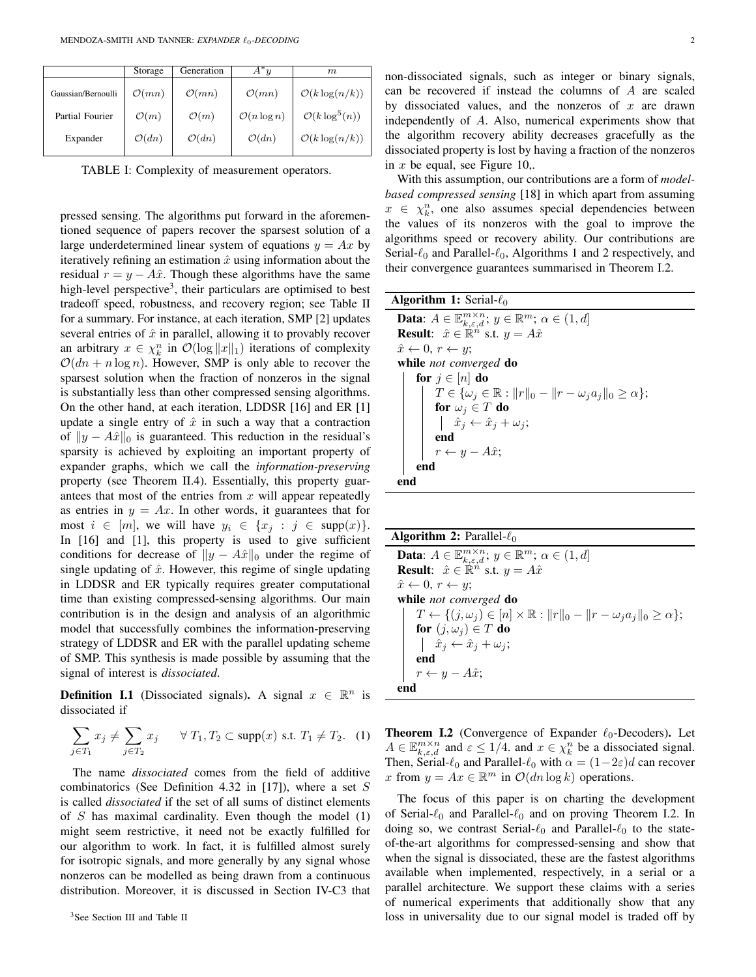|                    | Storage           | Generation        | $A^*u$                  | m                          |
|--------------------|-------------------|-------------------|-------------------------|----------------------------|
| Gaussian/Bernoulli | $\mathcal{O}(mn)$ | $\mathcal{O}(mn)$ | $\mathcal{O}(mn)$       | $\mathcal{O}(k \log(n/k))$ |
| Partial Fourier    | $\mathcal{O}(m)$  | $\mathcal{O}(m)$  | $\mathcal{O}(n \log n)$ | $\mathcal{O}(k \log^5(n))$ |
| Expander           | $\mathcal{O}(dn)$ | $\mathcal{O}(dn)$ | $\mathcal{O}(dn)$       | $\mathcal{O}(k \log(n/k))$ |

TABLE I: Complexity of measurement operators.

pressed sensing. The algorithms put forward in the aforementioned sequence of papers recover the sparsest solution of a large underdetermined linear system of equations  $y = Ax$  by iteratively refining an estimation  $\hat{x}$  using information about the residual  $r = y - A\hat{x}$ . Though these algorithms have the same high-level perspective<sup>3</sup>, their particulars are optimised to best tradeoff speed, robustness, and recovery region; see Table II for a summary. For instance, at each iteration, SMP [2] updates several entries of  $\hat{x}$  in parallel, allowing it to provably recover an arbitrary  $x \in \chi_k^n$  in  $\mathcal{O}(\log ||x||_1)$  iterations of complexity  $\mathcal{O}(dn + n \log n)$ . However, SMP is only able to recover the sparsest solution when the fraction of nonzeros in the signal is substantially less than other compressed sensing algorithms. On the other hand, at each iteration, LDDSR [16] and ER [1] update a single entry of  $\hat{x}$  in such a way that a contraction of  $||y - A\hat{x}||_0$  is guaranteed. This reduction in the residual's sparsity is achieved by exploiting an important property of expander graphs, which we call the *information-preserving* property (see Theorem II.4). Essentially, this property guarantees that most of the entries from  $x$  will appear repeatedly as entries in  $y = Ax$ . In other words, it guarantees that for most  $i \in [m]$ , we will have  $y_i \in \{x_i : j \in \text{supp}(x)\}.$ In [16] and [1], this property is used to give sufficient conditions for decrease of  $||y - A\hat{x}||_0$  under the regime of single updating of  $\hat{x}$ . However, this regime of single updating in LDDSR and ER typically requires greater computational time than existing compressed-sensing algorithms. Our main contribution is in the design and analysis of an algorithmic model that successfully combines the information-preserving strategy of LDDSR and ER with the parallel updating scheme of SMP. This synthesis is made possible by assuming that the signal of interest is *dissociated*.

**Definition I.1** (Dissociated signals). A signal  $x \in \mathbb{R}^n$  is dissociated if

$$
\sum_{j \in T_1} x_j \neq \sum_{j \in T_2} x_j \quad \forall T_1, T_2 \subset \text{supp}(x) \text{ s.t. } T_1 \neq T_2. \tag{1}
$$

The name *dissociated* comes from the field of additive combinatorics (See Definition 4.32 in [17]), where a set  $S$ is called *dissociated* if the set of all sums of distinct elements of S has maximal cardinality. Even though the model  $(1)$ might seem restrictive, it need not be exactly fulfilled for our algorithm to work. In fact, it is fulfilled almost surely for isotropic signals, and more generally by any signal whose nonzeros can be modelled as being drawn from a continuous distribution. Moreover, it is discussed in Section IV-C3 that non-dissociated signals, such as integer or binary signals, can be recovered if instead the columns of A are scaled by dissociated values, and the nonzeros of  $x$  are drawn independently of A. Also, numerical experiments show that the algorithm recovery ability decreases gracefully as the dissociated property is lost by having a fraction of the nonzeros in x be equal, see Figure 10,.

With this assumption, our contributions are a form of *modelbased compressed sensing* [18] in which apart from assuming  $x \in \chi_k^n$ , one also assumes special dependencies between the values of its nonzeros with the goal to improve the algorithms speed or recovery ability. Our contributions are Serial- $\ell_0$  and Parallel- $\ell_0$ , Algorithms 1 and 2 respectively, and their convergence guarantees summarised in Theorem I.2.

| <b>Algorithm 1:</b> Serial- $\ell_0$                                                                                                                                                                                                                                                                                                                                         |  |  |  |  |
|------------------------------------------------------------------------------------------------------------------------------------------------------------------------------------------------------------------------------------------------------------------------------------------------------------------------------------------------------------------------------|--|--|--|--|
| <b>Data:</b> $A \in \mathbb{E}_{k,\varepsilon,d}^{m \times n}$ ; $y \in \mathbb{R}^m$ ; $\alpha \in (1,d]$                                                                                                                                                                                                                                                                   |  |  |  |  |
| <b>Result:</b> $\hat{x} \in \mathbb{R}^n$ s.t. $y = A\hat{x}$                                                                                                                                                                                                                                                                                                                |  |  |  |  |
| $\hat{x} \leftarrow 0, r \leftarrow y;$                                                                                                                                                                                                                                                                                                                                      |  |  |  |  |
| while <i>not converged</i> do                                                                                                                                                                                                                                                                                                                                                |  |  |  |  |
| for $j \in [n]$ do                                                                                                                                                                                                                                                                                                                                                           |  |  |  |  |
| $T \in \{\omega_j \in \mathbb{R} :   r  _0 -   r - \omega_j a_j  _0 \ge \alpha\};$<br>$\begin{array}{c} \begin{array}{c} I \subset \\ \textbf{for } \omega_j \in T \textbf{ a} \textbf{b} \\ \begin{array}{c} \mid & \hat{x}_j \leftarrow \hat{x}_j + \omega_j; \\ \textbf{end} \end{array} \\ \begin{array}{c} \mid & \textbf{and} \\ \textbf{end} \end{array} \end{array}$ |  |  |  |  |
|                                                                                                                                                                                                                                                                                                                                                                              |  |  |  |  |
|                                                                                                                                                                                                                                                                                                                                                                              |  |  |  |  |
|                                                                                                                                                                                                                                                                                                                                                                              |  |  |  |  |
|                                                                                                                                                                                                                                                                                                                                                                              |  |  |  |  |
| end                                                                                                                                                                                                                                                                                                                                                                          |  |  |  |  |
| end                                                                                                                                                                                                                                                                                                                                                                          |  |  |  |  |

**Algorithm 2:** Parallel- $\ell_0$ **Data**:  $A \in \mathbb{E}_{k,\varepsilon,d}^{m \times n}$ ;  $y \in \mathbb{R}^m$ ;  $\alpha \in (1,d]$ **Result:**  $\hat{x} \in \mathbb{R}^n$  s.t.  $y = A\hat{x}$  $\hat{x} \leftarrow 0, r \leftarrow y;$ while *not converged* do  $T \leftarrow \{ (j, \omega_j) \in [n] \times \mathbb{R} : ||r||_0 - ||r - \omega_j a_j||_0 \ge \alpha \};$ for  $(j, \omega_j) \in T$  do  $\left|\ \hat{x}_j \leftarrow \hat{x}_j + \omega_j; \right.$ end  $r \leftarrow y - A\hat{x}$ ; end

**Theorem I.2** (Convergence of Expander  $\ell_0$ -Decoders). Let  $A \in \mathbb{E}_{k,\varepsilon,d}^{m \times n}$  and  $\varepsilon \leq 1/4$ . and  $x \in \chi_k^n$  be a dissociated signal. Then, Serial- $\ell_0$  and Parallel- $\ell_0$  with  $\alpha = (1-2\varepsilon)d$  can recover x from  $y = Ax \in \mathbb{R}^m$  in  $\mathcal{O}(dn \log k)$  operations.

The focus of this paper is on charting the development of Serial- $\ell_0$  and Parallel- $\ell_0$  and on proving Theorem I.2. In doing so, we contrast Serial- $\ell_0$  and Parallel- $\ell_0$  to the stateof-the-art algorithms for compressed-sensing and show that when the signal is dissociated, these are the fastest algorithms available when implemented, respectively, in a serial or a parallel architecture. We support these claims with a series of numerical experiments that additionally show that any loss in universality due to our signal model is traded off by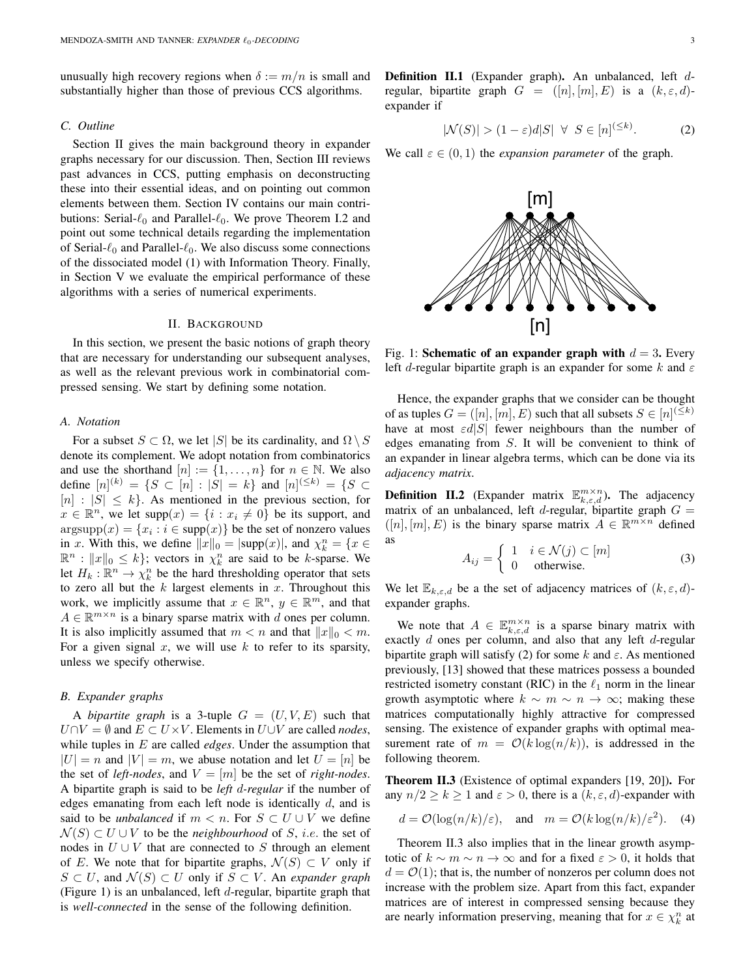unusually high recovery regions when  $\delta := m/n$  is small and substantially higher than those of previous CCS algorithms.

## *C. Outline*

Section II gives the main background theory in expander graphs necessary for our discussion. Then, Section III reviews past advances in CCS, putting emphasis on deconstructing these into their essential ideas, and on pointing out common elements between them. Section IV contains our main contributions: Serial- $\ell_0$  and Parallel- $\ell_0$ . We prove Theorem I.2 and point out some technical details regarding the implementation of Serial- $\ell_0$  and Parallel- $\ell_0$ . We also discuss some connections of the dissociated model (1) with Information Theory. Finally, in Section V we evaluate the empirical performance of these algorithms with a series of numerical experiments.

# II. BACKGROUND

In this section, we present the basic notions of graph theory that are necessary for understanding our subsequent analyses, as well as the relevant previous work in combinatorial compressed sensing. We start by defining some notation.

#### *A. Notation*

For a subset  $S \subset \Omega$ , we let |S| be its cardinality, and  $\Omega \setminus S$ denote its complement. We adopt notation from combinatorics and use the shorthand  $[n] := \{1, \ldots, n\}$  for  $n \in \mathbb{N}$ . We also define  $[n]^{(k)} = \{S \subset [n] : |S| = k\}$  and  $[n]^{(\leq k)} = \{S \subset$  $[n] : |S| \leq k$ . As mentioned in the previous section, for  $x \in \mathbb{R}^n$ , we let supp $(x) = \{i : x_i \neq 0\}$  be its support, and  $argsupp(x) = {x_i : i \in supp(x)}$  be the set of nonzero values in x. With this, we define  $||x||_0 = |\text{supp}(x)|$ , and  $\chi_k^n = \{x \in$  $\mathbb{R}^n : ||x||_0 \le k$ ; vectors in  $\chi_k^n$  are said to be k-sparse. We let  $H_k : \mathbb{R}^n \to \chi_k^n$  be the hard thresholding operator that sets to zero all but the  $k$  largest elements in  $x$ . Throughout this work, we implicitly assume that  $x \in \mathbb{R}^n$ ,  $y \in \mathbb{R}^m$ , and that  $A \in \mathbb{R}^{m \times n}$  is a binary sparse matrix with d ones per column. It is also implicitly assumed that  $m < n$  and that  $||x||_0 < m$ . For a given signal  $x$ , we will use  $k$  to refer to its sparsity, unless we specify otherwise.

# *B. Expander graphs*

A *bipartite graph* is a 3-tuple  $G = (U, V, E)$  such that  $U \cap V = \emptyset$  and  $E \subset U \times V$ . Elements in  $U \cup V$  are called *nodes*, while tuples in E are called *edges*. Under the assumption that  $|U| = n$  and  $|V| = m$ , we abuse notation and let  $U = [n]$  be the set of *left-nodes*, and  $V = [m]$  be the set of *right-nodes*. A bipartite graph is said to be *left* d*-regular* if the number of edges emanating from each left node is identically  $d$ , and is said to be *unbalanced* if  $m < n$ . For  $S \subset U \cup V$  we define  $\mathcal{N}(S) \subset U \cup V$  to be the *neighbourhood* of S, *i.e.* the set of nodes in  $U \cup V$  that are connected to S through an element of E. We note that for bipartite graphs,  $\mathcal{N}(S) \subset V$  only if  $S \subset U$ , and  $\mathcal{N}(S) \subset U$  only if  $S \subset V$ . An *expander graph* (Figure 1) is an unbalanced, left d-regular, bipartite graph that is *well-connected* in the sense of the following definition.

Definition II.1 (Expander graph). An unbalanced, left dregular, bipartite graph  $G = ([n], [m], E)$  is a  $(k, \varepsilon, d)$ expander if

$$
|\mathcal{N}(S)| > (1 - \varepsilon)d|S| \quad \forall \quad S \in [n]^{(\leq k)}.\tag{2}
$$

We call  $\varepsilon \in (0,1)$  the *expansion parameter* of the graph.



Fig. 1: Schematic of an expander graph with  $d = 3$ . Every left d-regular bipartite graph is an expander for some k and  $\varepsilon$ 

Hence, the expander graphs that we consider can be thought of as tuples  $G = ([n], [m], E)$  such that all subsets  $S \in [n]^{(\leq k)}$ have at most  $\epsilon d|S|$  fewer neighbours than the number of edges emanating from S. It will be convenient to think of an expander in linear algebra terms, which can be done via its *adjacency matrix*.

**Definition II.2** (Expander matrix  $\mathbb{E}_{k,\epsilon,d}^{m \times n}$ ). The adjacency matrix of an unbalanced, left d-regular, bipartite graph  $G =$  $([n], [m], E)$  is the binary sparse matrix  $A \in \mathbb{R}^{m \times n}$  defined as

$$
A_{ij} = \begin{cases} 1 & i \in \mathcal{N}(j) \subset [m] \\ 0 & \text{otherwise.} \end{cases}
$$
 (3)

We let  $\mathbb{E}_{k,\varepsilon,d}$  be a the set of adjacency matrices of  $(k,\varepsilon,d)$ expander graphs.

We note that  $A \in \mathbb{E}_{k,\varepsilon,d}^{m \times n}$  is a sparse binary matrix with exactly d ones per column, and also that any left d-regular bipartite graph will satisfy (2) for some k and  $\varepsilon$ . As mentioned previously, [13] showed that these matrices possess a bounded restricted isometry constant (RIC) in the  $\ell_1$  norm in the linear growth asymptotic where  $k \sim m \sim n \to \infty$ ; making these matrices computationally highly attractive for compressed sensing. The existence of expander graphs with optimal measurement rate of  $m = \mathcal{O}(k \log(n/k))$ , is addressed in the following theorem.

Theorem II.3 (Existence of optimal expanders [19, 20]). For any  $n/2 \ge k \ge 1$  and  $\varepsilon > 0$ , there is a  $(k, \varepsilon, d)$ -expander with

$$
d = \mathcal{O}(\log(n/k)/\varepsilon)
$$
, and  $m = \mathcal{O}(k \log(n/k)/\varepsilon^2)$ . (4)

Theorem II.3 also implies that in the linear growth asymptotic of  $k \sim m \sim n \to \infty$  and for a fixed  $\varepsilon > 0$ , it holds that  $d = \mathcal{O}(1)$ ; that is, the number of nonzeros per column does not increase with the problem size. Apart from this fact, expander matrices are of interest in compressed sensing because they are nearly information preserving, meaning that for  $x \in \chi_k^n$  at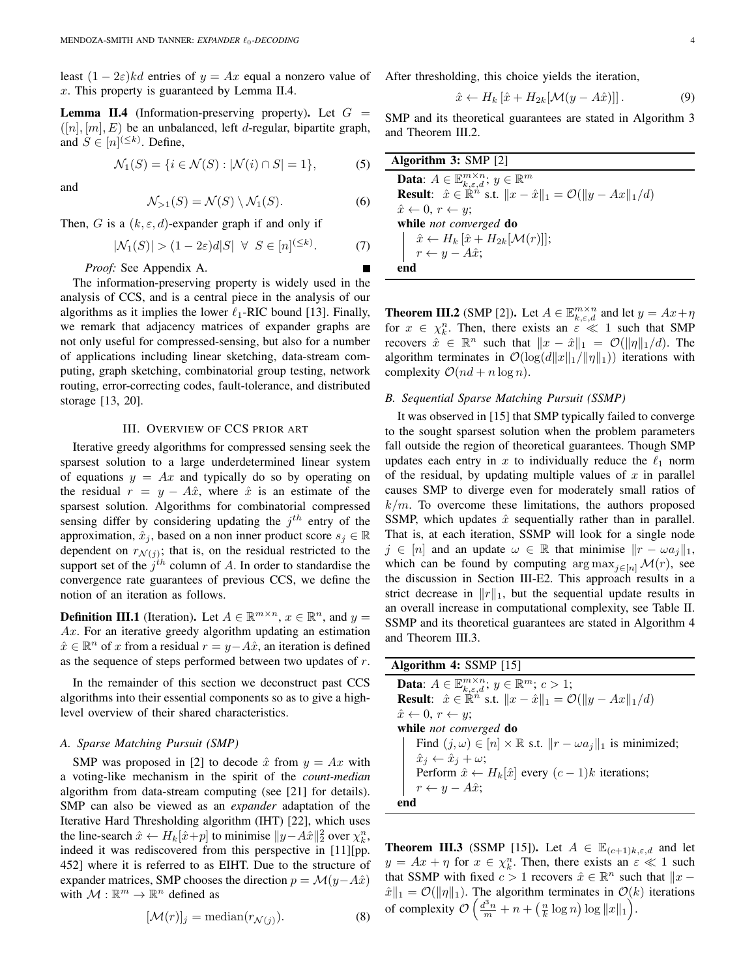least  $(1 - 2\varepsilon)kd$  entries of  $y = Ax$  equal a nonzero value of x. This property is guaranteed by Lemma II.4.

**Lemma II.4** (Information-preserving property). Let  $G =$  $([n], [m], E)$  be an unbalanced, left d-regular, bipartite graph, and  $S \in [n]^{(\leq k)}$ . Define,

$$
\mathcal{N}_1(S) = \{ i \in \mathcal{N}(S) : |\mathcal{N}(i) \cap S| = 1 \},\tag{5}
$$

and

$$
\mathcal{N}_{>1}(S) = \mathcal{N}(S) \setminus \mathcal{N}_1(S). \tag{6}
$$

Then, G is a  $(k, \varepsilon, d)$ -expander graph if and only if

$$
|\mathcal{N}_1(S)| > (1 - 2\varepsilon)d|S| \quad \forall \quad S \in [n]^{(\leq k)}.\tag{7}
$$

*Proof:* See Appendix A.

The information-preserving property is widely used in the analysis of CCS, and is a central piece in the analysis of our algorithms as it implies the lower  $\ell_1$ -RIC bound [13]. Finally, we remark that adjacency matrices of expander graphs are not only useful for compressed-sensing, but also for a number of applications including linear sketching, data-stream computing, graph sketching, combinatorial group testing, network routing, error-correcting codes, fault-tolerance, and distributed storage [13, 20].

#### III. OVERVIEW OF CCS PRIOR ART

Iterative greedy algorithms for compressed sensing seek the sparsest solution to a large underdetermined linear system of equations  $y = Ax$  and typically do so by operating on the residual  $r = y - A\hat{x}$ , where  $\hat{x}$  is an estimate of the sparsest solution. Algorithms for combinatorial compressed sensing differ by considering updating the  $j<sup>th</sup>$  entry of the approximation,  $\hat{x}_j$ , based on a non inner product score  $s_j \in \mathbb{R}$ dependent on  $r_{\mathcal{N}(j)}$ ; that is, on the residual restricted to the support set of the  $j<sup>th</sup>$  column of A. In order to standardise the convergence rate guarantees of previous CCS, we define the notion of an iteration as follows.

**Definition III.1** (Iteration). Let  $A \in \mathbb{R}^{m \times n}$ ,  $x \in \mathbb{R}^n$ , and  $y =$ Ax. For an iterative greedy algorithm updating an estimation  $\hat{x} \in \mathbb{R}^n$  of x from a residual  $r = y - A\hat{x}$ , an iteration is defined as the sequence of steps performed between two updates of  $r$ .

In the remainder of this section we deconstruct past CCS algorithms into their essential components so as to give a highlevel overview of their shared characteristics.

#### *A. Sparse Matching Pursuit (SMP)*

SMP was proposed in [2] to decode  $\hat{x}$  from  $y = Ax$  with a voting-like mechanism in the spirit of the *count-median* algorithm from data-stream computing (see [21] for details). SMP can also be viewed as an *expander* adaptation of the Iterative Hard Thresholding algorithm (IHT) [22], which uses the line-search  $\hat{x} \leftarrow H_k[\hat{x}+p]$  to minimise  $||y - A\hat{x}||_2^2$  over  $\chi_k^n$ , indeed it was rediscovered from this perspective in [11][pp. 452] where it is referred to as EIHT. Due to the structure of expander matrices, SMP chooses the direction  $p = \mathcal{M}(y - A\hat{x})$ with  $M : \mathbb{R}^m \to \mathbb{R}^n$  defined as

$$
[\mathcal{M}(r)]_j = \text{median}(r_{\mathcal{N}(j)}). \tag{8}
$$

After thresholding, this choice yields the iteration,

$$
\hat{x} \leftarrow H_k \left[ \hat{x} + H_{2k} [\mathcal{M}(y - A\hat{x})] \right]. \tag{9}
$$

SMP and its theoretical guarantees are stated in Algorithm 3 and Theorem III.2.

| Algorithm $3:$ SMP $[2]$                                                                         |
|--------------------------------------------------------------------------------------------------|
| <b>Data:</b> $A \in \mathbb{E}^{m \times n}_{k,\varepsilon,d}; \, y \in \mathbb{R}^m$            |
| <b>Result:</b> $\hat{x} \in \mathbb{R}^n$ s.t. $  x - \hat{x}  _1 = \mathcal{O}(  y - Ax  _1/d)$ |
| $\hat{x} \leftarrow 0, r \leftarrow u$                                                           |
| while <i>not converged</i> do                                                                    |
| $\hat{x} \leftarrow H_k [\hat{x} + H_{2k}[\mathcal{M}(r)]];$                                     |
| $\left  \quad r \leftarrow y - A\hat{x} \right $                                                 |
| end                                                                                              |
|                                                                                                  |

**Theorem III.2** (SMP [2]). Let  $A \in \mathbb{E}_{k,\varepsilon,d}^{m \times n}$  and let  $y = Ax + \eta$ for  $x \in \chi_k^n$ . Then, there exists an  $\varepsilon \ll 1$  such that SMP recovers  $\hat{x} \in \mathbb{R}^n$  such that  $||x - \hat{x}||_1 = \mathcal{O}(||\eta||_1/d)$ . The algorithm terminates in  $\mathcal{O}(\log(d||x||_1/||\eta||_1))$  iterations with complexity  $\mathcal{O}(nd + n \log n)$ .

# *B. Sequential Sparse Matching Pursuit (SSMP)*

It was observed in [15] that SMP typically failed to converge to the sought sparsest solution when the problem parameters fall outside the region of theoretical guarantees. Though SMP updates each entry in x to individually reduce the  $\ell_1$  norm of the residual, by updating multiple values of  $x$  in parallel causes SMP to diverge even for moderately small ratios of  $k/m$ . To overcome these limitations, the authors proposed SSMP, which updates  $\hat{x}$  sequentially rather than in parallel. That is, at each iteration, SSMP will look for a single node  $j \in [n]$  and an update  $\omega \in \mathbb{R}$  that minimise  $||r - \omega a_j||_1$ , which can be found by computing  $\arg \max_{i \in [n]} \mathcal{M}(r)$ , see the discussion in Section III-E2. This approach results in a strict decrease in  $||r||_1$ , but the sequential update results in an overall increase in computational complexity, see Table II. SSMP and its theoretical guarantees are stated in Algorithm 4 and Theorem III.3.

| Algorithm 4: $SSMP$ [15]                                                                          |
|---------------------------------------------------------------------------------------------------|
| <b>Data:</b> $A \in \mathbb{E}_{k,\varepsilon,d}^{m \times n}$ ; $y \in \mathbb{R}^m$ ; $c > 1$ ; |
| <b>Result:</b> $\hat{x} \in \mathbb{R}^n$ s.t. $  x - \hat{x}  _1 = \mathcal{O}(  y - Ax  _1/d)$  |
| $\hat{x} \leftarrow 0, r \leftarrow y;$                                                           |
| while <i>not converged</i> do                                                                     |
| Find $(j, \omega) \in [n] \times \mathbb{R}$ s.t. $  r - \omega a_i  _1$ is minimized;            |
| $\hat{x}_i \leftarrow \hat{x}_i + \omega;$                                                        |
| Perform $\hat{x} \leftarrow H_k[\hat{x}]$ every $(c-1)k$ iterations;                              |
| $r \leftarrow y - A\hat{x}$ ;                                                                     |
| end                                                                                               |

**Theorem III.3** (SSMP [15]). Let  $A \in \mathbb{E}_{(c+1)k,\epsilon,d}$  and let  $y = Ax + \eta$  for  $x \in \chi_k^n$ . Then, there exists an  $\varepsilon \ll 1$  such that SSMP with fixed  $c > 1$  recovers  $\hat{x} \in \mathbb{R}^n$  such that  $||x \hat{x} \|_1 = \mathcal{O}(\|\eta\|_1)$ . The algorithm terminates in  $\mathcal{O}(k)$  iterations of complexity  $\mathcal{O}\left(\frac{d^3n}{m} + n + \left(\frac{n}{k}\log n\right)\log ||x||_1\right)$ .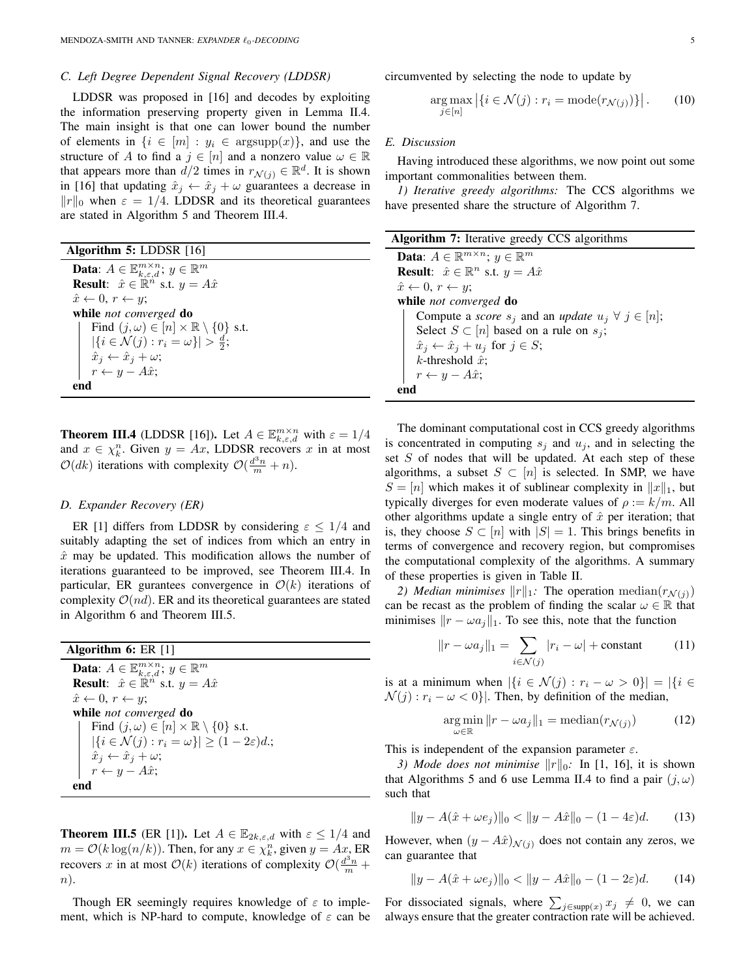#### *C. Left Degree Dependent Signal Recovery (LDDSR)*

LDDSR was proposed in [16] and decodes by exploiting the information preserving property given in Lemma II.4. The main insight is that one can lower bound the number of elements in  $\{i \in [m] : y_i \in \text{argsupp}(x)\}\)$ , and use the structure of A to find a  $j \in [n]$  and a nonzero value  $\omega \in \mathbb{R}$ that appears more than  $d/2$  times in  $r_{\mathcal{N}(j)} \in \mathbb{R}^d$ . It is shown in [16] that updating  $\hat{x}_j \leftarrow \hat{x}_j + \omega$  guarantees a decrease in  $||r||_0$  when  $\varepsilon = 1/4$ . LDDSR and its theoretical guarantees are stated in Algorithm 5 and Theorem III.4.

| Algorithm 5: LDDSR [16] |  |  |  |
|-------------------------|--|--|--|
|-------------------------|--|--|--|

| <b>Data:</b> $A \in \mathbb{E}_{k,\varepsilon,d}^{m \times n}$ ; $y \in \mathbb{R}^m$ |
|---------------------------------------------------------------------------------------|
| <b>Result:</b> $\hat{x} \in \mathbb{R}^n$ s.t. $y = A\hat{x}$                         |
| $\hat{x} \leftarrow 0, r \leftarrow y;$                                               |
| while not converged do                                                                |
| Find $(j,\omega) \in [n] \times \mathbb{R} \setminus \{0\}$ s.t.                      |
| $ \{i \in \mathcal{N}(j) : r_i = \omega\}  > \frac{d}{2};$                            |
| $\hat{x}_j \leftarrow \hat{x}_j + \omega;$                                            |
| $r \leftarrow y - A\hat{x};$                                                          |
|                                                                                       |

**Theorem III.4** (LDDSR [16]). Let  $A \in \mathbb{E}_{k,\varepsilon,d}^{m \times n}$  with  $\varepsilon = 1/4$ and  $x \in \chi_k^n$ . Given  $y = Ax$ , LDDSR recovers x in at most  $\mathcal{O}(dk)$  iterations with complexity  $\mathcal{O}(\frac{d^3n}{m}+n)$ .

#### *D. Expander Recovery (ER)*

ER [1] differs from LDDSR by considering  $\varepsilon \leq 1/4$  and suitably adapting the set of indices from which an entry in  $\hat{x}$  may be updated. This modification allows the number of iterations guaranteed to be improved, see Theorem III.4. In particular, ER gurantees convergence in  $\mathcal{O}(k)$  iterations of complexity  $\mathcal{O}(nd)$ . ER and its theoretical guarantees are stated in Algorithm 6 and Theorem III.5.

| Algorithm 6: $ER [1]$                                                                 |
|---------------------------------------------------------------------------------------|
| <b>Data:</b> $A \in \mathbb{E}_{k,\varepsilon,d}^{m \times n}$ ; $y \in \mathbb{R}^m$ |
| <b>Result:</b> $\hat{x} \in \mathbb{R}^n$ s.t. $y = A\hat{x}$                         |
| $\hat{x} \leftarrow 0, r \leftarrow y;$                                               |
| while not converged do                                                                |
| Find $(j,\omega) \in [n] \times \mathbb{R} \setminus \{0\}$ s.t.                      |
| $ \{i \in \mathcal{N}(j) : r_i = \omega\}  \geq (1 - 2\varepsilon)d.$                 |
| $\left  \quad \hat{x}_j \leftarrow \hat{x}_j + \omega; \right.$                       |
| $r \leftarrow y - A\hat{x}$ ;                                                         |
|                                                                                       |

**Theorem III.5** (ER [1]). Let  $A \in \mathbb{E}_{2k,\varepsilon,d}$  with  $\varepsilon \leq 1/4$  and  $m = \mathcal{O}(k \log(n/k))$ . Then, for any  $x \in \chi_k^n$ , given  $y = Ax$ , ER recovers x in at most  $\mathcal{O}(k)$  iterations of complexity  $\mathcal{O}(\frac{d^3n}{m} +$ n).

Though ER seemingly requires knowledge of  $\varepsilon$  to implement, which is NP-hard to compute, knowledge of  $\varepsilon$  can be circumvented by selecting the node to update by

$$
\underset{j \in [n]}{\arg \max} \left| \{ i \in \mathcal{N}(j) : r_i = \text{mode}(r_{\mathcal{N}(j)}) \} \right|.
$$
 (10)

#### *E. Discussion*

Having introduced these algorithms, we now point out some important commonalities between them.

*1) Iterative greedy algorithms:* The CCS algorithms we have presented share the structure of Algorithm 7.

| <b>Algorithm 7:</b> Iterative greedy CCS algorithms                             |
|---------------------------------------------------------------------------------|
| <b>Data:</b> $A \in \mathbb{R}^{m \times n}$ ; $y \in \mathbb{R}^m$             |
| <b>Result:</b> $\hat{x} \in \mathbb{R}^n$ s.t. $y = A\hat{x}$                   |
| $\hat{x} \leftarrow 0, r \leftarrow y;$                                         |
| while <i>not converged</i> do                                                   |
| Compute a <i>score</i> $s_j$ and an <i>update</i> $u_j \ \forall \ j \in [n]$ ; |
| Select $S \subset [n]$ based on a rule on $s_i$ ;                               |
| $\hat{x}_j \leftarrow \hat{x}_j + u_j \text{ for } j \in S;$                    |
| k-threshold $\hat{x}$ ;                                                         |
| $r \leftarrow y - A\hat{x};$                                                    |
| end                                                                             |

The dominant computational cost in CCS greedy algorithms is concentrated in computing  $s_j$  and  $u_j$ , and in selecting the set  $S$  of nodes that will be updated. At each step of these algorithms, a subset  $S \subset [n]$  is selected. In SMP, we have  $S = [n]$  which makes it of sublinear complexity in  $||x||_1$ , but typically diverges for even moderate values of  $\rho := k/m$ . All other algorithms update a single entry of  $\hat{x}$  per iteration; that is, they choose  $S \subset [n]$  with  $|S| = 1$ . This brings benefits in terms of convergence and recovery region, but compromises the computational complexity of the algorithms. A summary of these properties is given in Table II.

*2) Median minimises*  $||r||_1$ : The operation median( $r_{\mathcal{N}(i)}$ ) can be recast as the problem of finding the scalar  $\omega \in \mathbb{R}$  that minimises  $\|r - \omega a_i\|_1$ . To see this, note that the function

$$
||r - \omega a_j||_1 = \sum_{i \in \mathcal{N}(j)} |r_i - \omega| + \text{constant} \tag{11}
$$

is at a minimum when  $|\{i \in \mathcal{N}(j) : r_i - \omega > 0\}| = |\{i \in$  $\mathcal{N}(j) : r_i - \omega < 0$ . Then, by definition of the median,

$$
\underset{\omega \in \mathbb{R}}{\arg \min} \|r - \omega a_j\|_1 = \text{median}(r_{\mathcal{N}(j)})\tag{12}
$$

This is independent of the expansion parameter  $\varepsilon$ .

*3) Mode does not minimise*  $||r||_0$ : In [1, 16], it is shown that Algorithms 5 and 6 use Lemma II.4 to find a pair  $(j, \omega)$ such that

$$
||y - A(\hat{x} + \omega e_j)||_0 < ||y - A\hat{x}||_0 - (1 - 4\varepsilon)d.
$$
 (13)

However, when  $(y - A\hat{x})_{\mathcal{N}(i)}$  does not contain any zeros, we can guarantee that

$$
||y - A(\hat{x} + \omega e_j)||_0 < ||y - A\hat{x}||_0 - (1 - 2\varepsilon)d.
$$
 (14)

For dissociated signals, where  $\sum_{j \in \text{supp}(x)} x_j \neq 0$ , we can always ensure that the greater contraction rate will be achieved.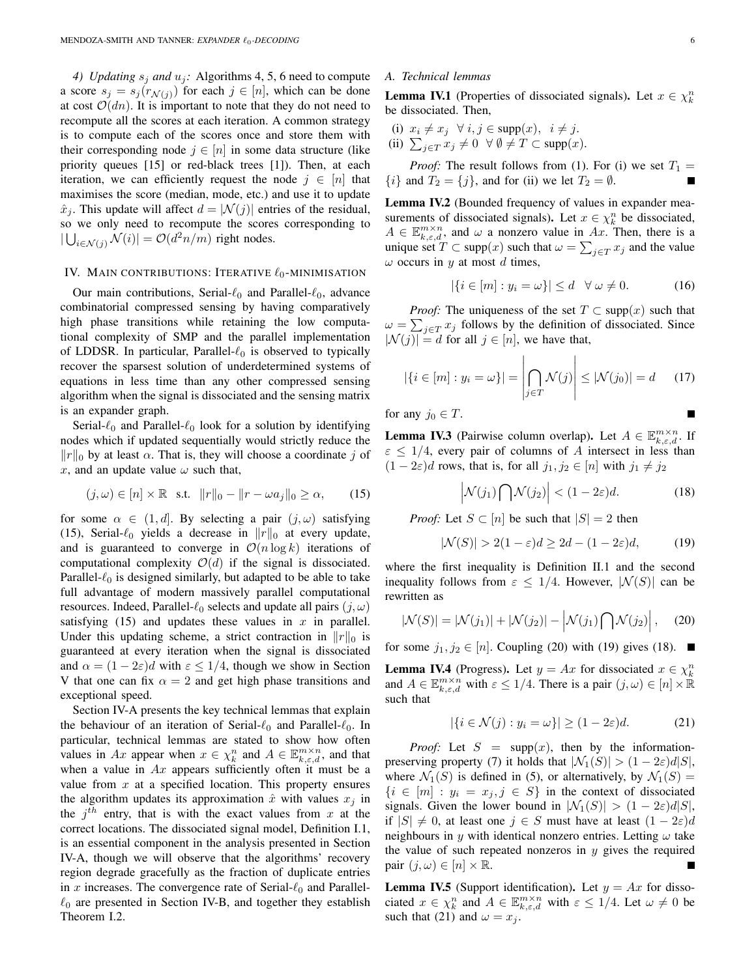*4) Updating*  $s_i$  *and*  $u_j$ : Algorithms 4, 5, 6 need to compute a score  $s_j = s_j(r_{\mathcal{N}(j)})$  for each  $j \in [n]$ , which can be done at cost  $\mathcal{O}(dn)$ . It is important to note that they do not need to recompute all the scores at each iteration. A common strategy is to compute each of the scores once and store them with their corresponding node  $j \in [n]$  in some data structure (like priority queues [15] or red-black trees [1]). Then, at each iteration, we can efficiently request the node  $j \in [n]$  that maximises the score (median, mode, etc.) and use it to update  $\hat{x}_i$ . This update will affect  $d = |\mathcal{N}(j)|$  entries of the residual, so we only need to recompute the scores corresponding to  $|\bigcup_{i \in \mathcal{N}(j)} \mathcal{N}(i)| = \mathcal{O}(d^2 n/m)$  right nodes.

## IV. MAIN CONTRIBUTIONS: ITERATIVE  $\ell_0$ -MINIMISATION

Our main contributions, Serial- $\ell_0$  and Parallel- $\ell_0$ , advance combinatorial compressed sensing by having comparatively high phase transitions while retaining the low computational complexity of SMP and the parallel implementation of LDDSR. In particular, Parallel- $\ell_0$  is observed to typically recover the sparsest solution of underdetermined systems of equations in less time than any other compressed sensing algorithm when the signal is dissociated and the sensing matrix is an expander graph.

Serial- $\ell_0$  and Parallel- $\ell_0$  look for a solution by identifying nodes which if updated sequentially would strictly reduce the  $||r||_0$  by at least  $\alpha$ . That is, they will choose a coordinate j of x, and an update value  $\omega$  such that,

$$
(j,\omega) \in [n] \times \mathbb{R} \quad \text{s.t.} \quad ||r||_0 - ||r - \omega a_j||_0 \ge \alpha,\qquad(15)
$$

for some  $\alpha \in (1, d]$ . By selecting a pair  $(j, \omega)$  satisfying (15), Serial- $\ell_0$  yields a decrease in  $||r||_0$  at every update, and is guaranteed to converge in  $\mathcal{O}(n \log k)$  iterations of computational complexity  $\mathcal{O}(d)$  if the signal is dissociated. Parallel- $\ell_0$  is designed similarly, but adapted to be able to take full advantage of modern massively parallel computational resources. Indeed, Parallel- $\ell_0$  selects and update all pairs  $(j, \omega)$ satisfying  $(15)$  and updates these values in x in parallel. Under this updating scheme, a strict contraction in  $||r||_0$  is guaranteed at every iteration when the signal is dissociated and  $\alpha = (1 - 2\varepsilon)d$  with  $\varepsilon \leq 1/4$ , though we show in Section V that one can fix  $\alpha = 2$  and get high phase transitions and exceptional speed.

Section IV-A presents the key technical lemmas that explain the behaviour of an iteration of Serial- $\ell_0$  and Parallel- $\ell_0$ . In particular, technical lemmas are stated to show how often values in Ax appear when  $x \in \chi_k^n$  and  $A \in \mathbb{E}_{k,\varepsilon,d}^{m \times n}$ , and that when a value in  $Ax$  appears sufficiently often it must be a value from  $x$  at a specified location. This property ensures the algorithm updates its approximation  $\hat{x}$  with values  $x_i$  in the  $j^{th}$  entry, that is with the exact values from x at the correct locations. The dissociated signal model, Definition I.1, is an essential component in the analysis presented in Section IV-A, though we will observe that the algorithms' recovery region degrade gracefully as the fraction of duplicate entries in x increases. The convergence rate of Serial- $\ell_0$  and Parallel- $\ell_0$  are presented in Section IV-B, and together they establish Theorem I.2.

#### *A. Technical lemmas*

**Lemma IV.1** (Properties of dissociated signals). Let  $x \in \chi_k^n$ be dissociated. Then,

(i)  $x_i \neq x_j \quad \forall \ i, j \in \text{supp}(x), \quad i \neq j.$ (ii)  $\sum_{j \in T} x_j \neq 0 \ \ \forall \ \emptyset \neq T \subset \text{supp}(x)$ .

*Proof:* The result follows from (1). For (i) we set  $T_1 =$  $\{i\}$  and  $T_2 = \{j\}$ , and for (ii) we let  $T_2 = \emptyset$ .

Lemma IV.2 (Bounded frequency of values in expander measurements of dissociated signals). Let  $x \in \chi_k^n$  be dissociated,  $A \in \mathbb{E}_{k,\varepsilon,d}^{m \times n}$ , and  $\omega$  a nonzero value in Ax. Then, there is a unique set  $T \subset \text{supp}(x)$  such that  $\omega = \sum_{j \in T} x_j$  and the value  $\omega$  occurs in y at most d times,

$$
|\{i \in [m] : y_i = \omega\}| \le d \quad \forall \ \omega \ne 0. \tag{16}
$$

*Proof:* The uniqueness of the set  $T \subset \text{supp}(x)$  such that  $\omega = \sum_{j \in T} x_j$  follows by the definition of dissociated. Since  $|\mathcal{N}(j)| = d$  for all  $j \in [n]$ , we have that,

$$
|\{i \in [m] : y_i = \omega\}| = \left| \bigcap_{j \in T} \mathcal{N}(j) \right| \le |\mathcal{N}(j_0)| = d \qquad (17)
$$

for any 
$$
j_0 \in T
$$
.

**Lemma IV.3** (Pairwise column overlap). Let  $A \in \mathbb{E}_{k,\varepsilon,d}^{m \times n}$ . If  $\varepsilon \leq 1/4$ , every pair of columns of A intersect in less than  $(1 - 2\varepsilon)d$  rows, that is, for all  $j_1, j_2 \in [n]$  with  $j_1 \neq j_2$ 

$$
\left| \mathcal{N}(j_1) \bigcap \mathcal{N}(j_2) \right| < (1 - 2\varepsilon)d. \tag{18}
$$

*Proof:* Let  $S \subset [n]$  be such that  $|S| = 2$  then

$$
|\mathcal{N}(S)| > 2(1 - \varepsilon)d \ge 2d - (1 - 2\varepsilon)d,\tag{19}
$$

where the first inequality is Definition II.1 and the second inequality follows from  $\varepsilon \leq 1/4$ . However,  $|\mathcal{N}(S)|$  can be rewritten as

$$
|\mathcal{N}(S)| = |\mathcal{N}(j_1)| + |\mathcal{N}(j_2)| - \left|\mathcal{N}(j_1)\bigcap \mathcal{N}(j_2)\right|, \quad (20)
$$

for some  $j_1, j_2 \in [n]$ . Coupling (20) with (19) gives (18).

**Lemma IV.4** (Progress). Let  $y = Ax$  for dissociated  $x \in \chi_k^n$ and  $A \in \mathbb{E}_{k,\varepsilon,d}^{m \times n}$  with  $\varepsilon \le 1/4$ . There is a pair  $(j,\omega) \in [n] \times \mathbb{R}$ such that

$$
|\{i \in \mathcal{N}(j) : y_i = \omega\}| \ge (1 - 2\varepsilon)d. \tag{21}
$$

*Proof:* Let  $S = \text{supp}(x)$ , then by the informationpreserving property (7) it holds that  $|\mathcal{N}_1(S)| > (1 - 2\varepsilon)d|S|$ , where  $\mathcal{N}_1(S)$  is defined in (5), or alternatively, by  $\mathcal{N}_1(S) =$  $\{i \in [m] : y_i = x_j, j \in S\}$  in the context of dissociated signals. Given the lower bound in  $|\mathcal{N}_1(S)| > (1 - 2\varepsilon)d|S|$ , if  $|S| \neq 0$ , at least one  $j \in S$  must have at least  $(1 - 2\varepsilon)d$ neighbours in y with identical nonzero entries. Letting  $\omega$  take the value of such repeated nonzeros in  $y$  gives the required pair  $(j, \omega) \in [n] \times \mathbb{R}$ .

**Lemma IV.5** (Support identification). Let  $y = Ax$  for dissociated  $x \in \chi_k^n$  and  $A \in \mathbb{E}_{k,\varepsilon,d}^{m \times n}$  with  $\varepsilon \leq 1/4$ . Let  $\omega \neq 0$  be such that (21) and  $\omega = x_i$ .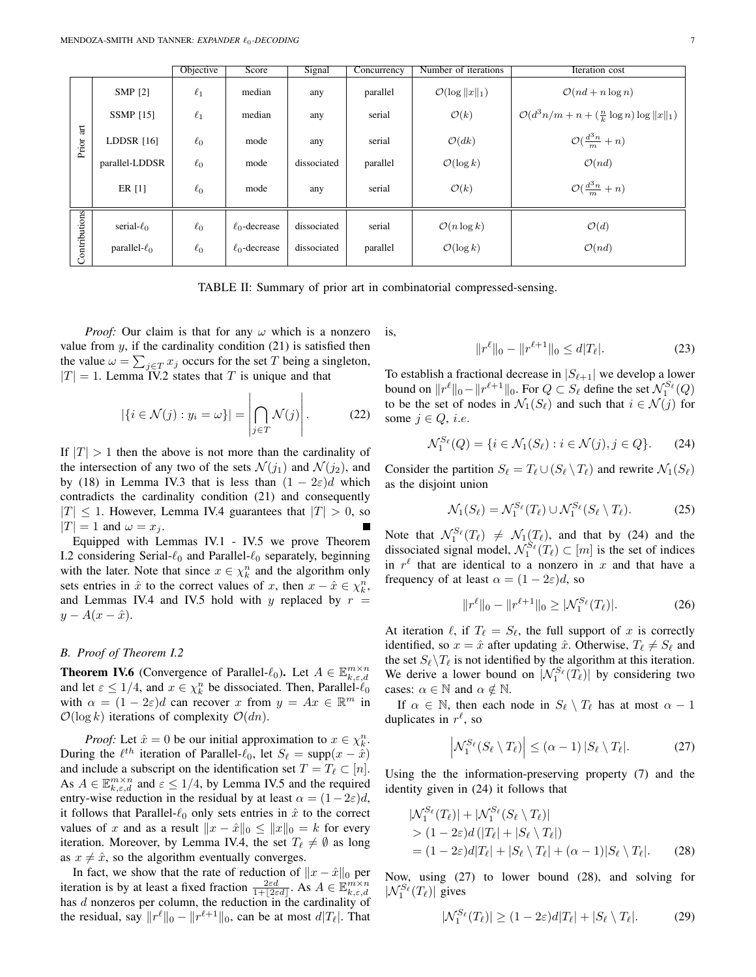|                              |                    | Objective | Score              | Signal      | Concurrency | Number of iterations        | Iteration cost                                                |
|------------------------------|--------------------|-----------|--------------------|-------------|-------------|-----------------------------|---------------------------------------------------------------|
|                              | SMP [2]            | $\ell_1$  | median             | any         | parallel    | $\mathcal{O}(\log   x  _1)$ | $\mathcal{O}(nd + n \log n)$                                  |
|                              | <b>SSMP</b> [15]   | $\ell_1$  | median             | any         | serial      | $\mathcal{O}(k)$            | $\mathcal{O}(d^3n/m + n + (\frac{n}{k} \log n) \log   x  _1)$ |
| $\overline{\rm at}$<br>Prior | LDDSR $[16]$       | $\ell_0$  | mode               | any         | serial      | $\mathcal{O}(dk)$           | $\mathcal{O}(\frac{d^3n}{m}+n)$                               |
|                              | parallel-LDDSR     | $\ell_0$  | mode               | dissociated | parallel    | $\mathcal{O}(\log k)$       | $\mathcal{O}(nd)$                                             |
|                              | ER [1]             | $\ell_0$  | mode               | any         | serial      | $\mathcal{O}(k)$            | $\mathcal{O}(\frac{d^3n}{m}+n)$                               |
| Contributions                | serial- $\ell_0$   | $\ell_0$  | $\ell_0$ -decrease | dissociated | serial      | $\mathcal{O}(n \log k)$     | $\mathcal{O}(d)$                                              |
|                              | parallel- $\ell_0$ | $\ell_0$  | $\ell_0$ -decrease | dissociated | parallel    | $\mathcal{O}(\log k)$       | $\mathcal{O}(nd)$                                             |

TABLE II: Summary of prior art in combinatorial compressed-sensing.

*Proof:* Our claim is that for any  $\omega$  which is a nonzero value from  $y$ , if the cardinality condition (21) is satisfied then the value  $\omega = \sum_{j \in T} x_j$  occurs for the set T being a singleton,  $|T| = 1$ . Lemma IV.2 states that T is unique and that

$$
|\{i \in \mathcal{N}(j) : y_i = \omega\}| = \left| \bigcap_{j \in T} \mathcal{N}(j) \right|.
$$
 (22)

If  $|T| > 1$  then the above is not more than the cardinality of the intersection of any two of the sets  $\mathcal{N}(j_1)$  and  $\mathcal{N}(j_2)$ , and by (18) in Lemma IV.3 that is less than  $(1 - 2\varepsilon)d$  which contradicts the cardinality condition (21) and consequently  $|T|$  < 1. However, Lemma IV.4 guarantees that  $|T| > 0$ , so  $|T| = 1$  and  $\omega = x_i$ .

Equipped with Lemmas IV.1 - IV.5 we prove Theorem I.2 considering Serial- $\ell_0$  and Parallel- $\ell_0$  separately, beginning with the later. Note that since  $x \in \chi_k^n$  and the algorithm only sets entries in  $\hat{x}$  to the correct values of x, then  $x - \hat{x} \in \chi_k^n$ , and Lemmas IV.4 and IV.5 hold with y replaced by  $r =$  $y - A(x - \hat{x}).$ 

# *B. Proof of Theorem I.2*

**Theorem IV.6** (Convergence of Parallel- $\ell_0$ ). Let  $A \in \mathbb{E}_{k,\varepsilon,d}^{m \times n}$ and let  $\varepsilon \leq 1/4$ , and  $x \in \chi_k^n$  be dissociated. Then, Parallel- $\ell_0$ with  $\alpha = (1 - 2\varepsilon)d$  can recover x from  $y = Ax \in \mathbb{R}^m$  in  $\mathcal{O}(\log k)$  iterations of complexity  $\mathcal{O}(dn)$ .

*Proof:* Let  $\hat{x} = 0$  be our initial approximation to  $x \in \chi_k^n$ . During the  $\ell^{th}$  iteration of Parallel- $\ell_0$ , let  $S_\ell = \text{supp}(x - \hat{x})$ and include a subscript on the identification set  $T = T_\ell \subset [n]$ . As  $A \in \mathbb{E}_{k,\varepsilon,d}^{m \times n}$  and  $\varepsilon \leq 1/4$ , by Lemma IV.5 and the required entry-wise reduction in the residual by at least  $\alpha = (1-2\varepsilon)d$ , it follows that Parallel- $\ell_0$  only sets entries in  $\hat{x}$  to the correct values of x and as a result  $||x - \hat{x}||_0 \le ||x||_0 = k$  for every iteration. Moreover, by Lemma IV.4, the set  $T_\ell \neq \emptyset$  as long as  $x \neq \hat{x}$ , so the algorithm eventually converges.

In fact, we show that the rate of reduction of  $||x - \hat{x}||_0$  per iteration is by at least a fixed fraction  $\frac{2\varepsilon d}{1+|2\varepsilon d|}$ . As  $A \in \mathbb{E}_{k,\varepsilon,d}^{m \times n}$  has d nonzeros per column, the reduction in the cardinality of the residual, say  $||r^{\ell}||_0 - ||r^{\ell+1}||_0$ , can be at most  $d|T_{\ell}|$ . That is,

$$
||r^{\ell}||_0 - ||r^{\ell+1}||_0 \le d|T_{\ell}|.
$$
 (23)

To establish a fractional decrease in  $|S_{\ell+1}|$  we develop a lower bound on  $||r^{\ell}||_0 - ||r^{\ell+1}||_0$ . For  $Q \subset S_{\ell}$  define the set  $\mathcal{N}_1^{S_{\ell}}(Q)$ to be the set of nodes in  $\mathcal{N}_1(S_\ell)$  and such that  $i \in \mathcal{N}(j)$  for some  $j \in Q$ , *i.e.* 

$$
\mathcal{N}_1^{S_{\ell}}(Q) = \{ i \in \mathcal{N}_1(S_{\ell}) : i \in \mathcal{N}(j), j \in Q \}. \tag{24}
$$

Consider the partition  $S_\ell = T_\ell \cup (S_\ell \setminus T_\ell)$  and rewrite  $\mathcal{N}_1(S_\ell)$ as the disjoint union

$$
\mathcal{N}_1(S_\ell) = \mathcal{N}_1^{S_\ell}(T_\ell) \cup \mathcal{N}_1^{S_\ell}(S_\ell \setminus T_\ell). \tag{25}
$$

Note that  $\mathcal{N}_1^{S_{\ell}}(T_{\ell}) \neq \mathcal{N}_1(T_{\ell})$ , and that by (24) and the dissociated signal model,  $\mathcal{N}_1^{\mathcal{S}_{\ell}}(T_{\ell}) \subset [m]$  is the set of indices in  $r^{\ell}$  that are identical to a nonzero in x and that have a frequency of at least  $\alpha = (1 - 2\varepsilon)d$ , so

$$
||r^{\ell}||_0 - ||r^{\ell+1}||_0 \ge |\mathcal{N}_1^{S_{\ell}}(T_{\ell})|.
$$
 (26)

At iteration  $\ell$ , if  $T_{\ell} = S_{\ell}$ , the full support of x is correctly identified, so  $x = \hat{x}$  after updating  $\hat{x}$ . Otherwise,  $T_{\ell} \neq S_{\ell}$  and the set  $S_\ell \backslash T_\ell$  is not identified by the algorithm at this iteration. We derive a lower bound on  $|\mathcal{N}_1^{S_{\ell}}(T_{\ell})|$  by considering two cases:  $\alpha \in \mathbb{N}$  and  $\alpha \notin \mathbb{N}$ .

If  $\alpha \in \mathbb{N}$ , then each node in  $S_\ell \setminus T_\ell$  has at most  $\alpha - 1$ duplicates in  $r^{\ell}$ , so

$$
\left| \mathcal{N}_1^{S_\ell}(S_\ell \setminus T_\ell) \right| \le (\alpha - 1) \left| S_\ell \setminus T_\ell \right|.
$$
 (27)

Using the the information-preserving property (7) and the identity given in (24) it follows that

$$
|\mathcal{N}_1^{S_\ell}(T_\ell)| + |\mathcal{N}_1^{S_\ell}(S_\ell \setminus T_\ell)|
$$
  
>  $(1 - 2\varepsilon)d(|T_\ell| + |S_\ell \setminus T_\ell|)$   
=  $(1 - 2\varepsilon)d|T_\ell| + |S_\ell \setminus T_\ell| + (\alpha - 1)|S_\ell \setminus T_\ell|.$  (28)

Now, using (27) to lower bound (28), and solving for  $|\mathcal{N}_1^{S_{\ell}}(T_{\ell})|$  gives

$$
|\mathcal{N}_1^{S_\ell}(T_\ell)| \ge (1 - 2\varepsilon)d|T_\ell| + |S_\ell \setminus T_\ell|.
$$
 (29)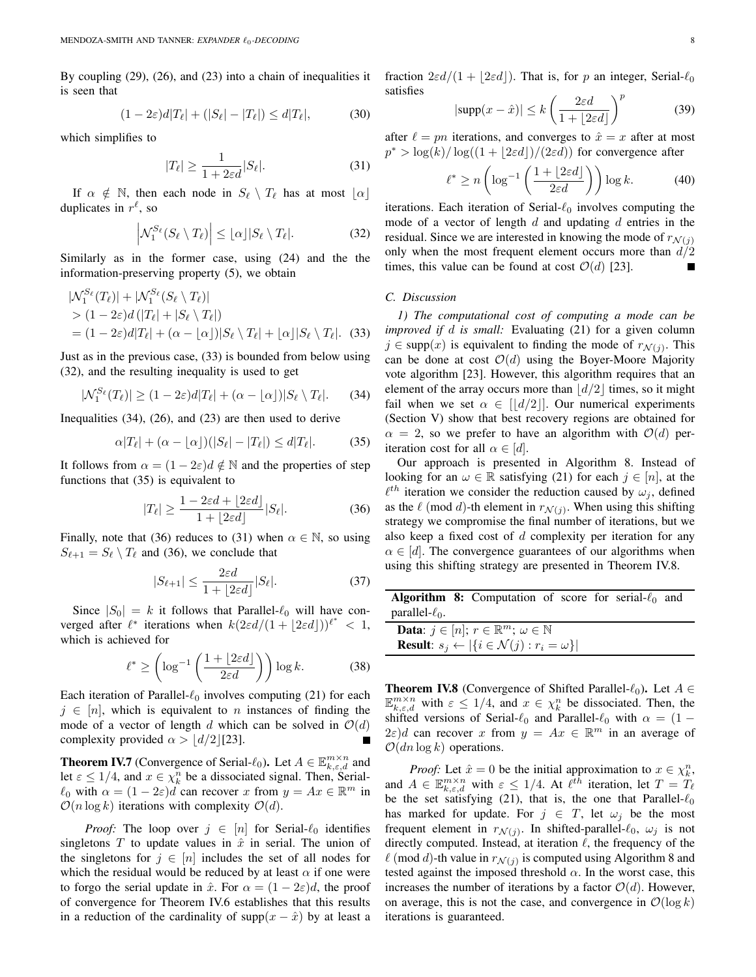By coupling (29), (26), and (23) into a chain of inequalities it is seen that

$$
(1 - 2\varepsilon)d|T_{\ell}| + (|S_{\ell}| - |T_{\ell}|) \le d|T_{\ell}|,\tag{30}
$$

which simplifies to

$$
|T_{\ell}| \ge \frac{1}{1 + 2\varepsilon d} |S_{\ell}|. \tag{31}
$$

If  $\alpha \notin \mathbb{N}$ , then each node in  $S_\ell \setminus T_\ell$  has at most  $\lfloor \alpha \rfloor$ duplicates in  $r^{\ell}$ , so

$$
\left| \mathcal{N}_1^{S_\ell}(S_\ell \setminus T_\ell) \right| \leq \lfloor \alpha \rfloor |S_\ell \setminus T_\ell|. \tag{32}
$$

Similarly as in the former case, using (24) and the the information-preserving property (5), we obtain

$$
|\mathcal{N}_1^{S_{\ell}}(T_{\ell})| + |\mathcal{N}_1^{S_{\ell}}(S_{\ell} \setminus T_{\ell})|
$$
  
> (1 - 2\varepsilon) d (|T\_{\ell}| + |S\_{\ell} \setminus T\_{\ell}|)  
= (1 - 2\varepsilon) d |T\_{\ell}| + (\alpha - \lfloor \alpha \rfloor)|S\_{\ell} \setminus T\_{\ell}| + \lfloor \alpha \rfloor |S\_{\ell} \setminus T\_{\ell}|. (33)

Just as in the previous case, (33) is bounded from below using (32), and the resulting inequality is used to get

$$
|\mathcal{N}_1^{S_\ell}(T_\ell)| \ge (1 - 2\varepsilon)d|T_\ell| + (\alpha - \lfloor \alpha \rfloor)|S_\ell \setminus T_\ell|.
$$
 (34)

Inequalities (34), (26), and (23) are then used to derive

$$
\alpha |T_{\ell}| + (\alpha - \lfloor \alpha \rfloor)(|S_{\ell}| - |T_{\ell}|) \le d |T_{\ell}|. \tag{35}
$$

It follows from  $\alpha = (1 - 2\varepsilon)d \notin \mathbb{N}$  and the properties of step functions that (35) is equivalent to

$$
|T_{\ell}| \ge \frac{1 - 2\varepsilon d + \lfloor 2\varepsilon d \rfloor}{1 + \lfloor 2\varepsilon d \rfloor} |S_{\ell}|. \tag{36}
$$

Finally, note that (36) reduces to (31) when  $\alpha \in \mathbb{N}$ , so using  $S_{\ell+1} = S_{\ell} \setminus T_{\ell}$  and (36), we conclude that

$$
|S_{\ell+1}| \le \frac{2\varepsilon d}{1 + |2\varepsilon d|} |S_{\ell}|. \tag{37}
$$

Since  $|S_0| = k$  it follows that Parallel- $\ell_0$  will have converged after  $\ell^*$  iterations when  $k(2\varepsilon d/(1 + \lfloor 2\varepsilon d \rfloor))^{\ell^*} < 1$ , which is achieved for

$$
\ell^* \ge \left(\log^{-1}\left(\frac{1+\lfloor 2\varepsilon d\rfloor}{2\varepsilon d}\right)\right) \log k. \tag{38}
$$

Each iteration of Parallel- $\ell_0$  involves computing (21) for each  $j \in [n]$ , which is equivalent to n instances of finding the mode of a vector of length d which can be solved in  $O(d)$ complexity provided  $\alpha > |d/2|$ [23].

**Theorem IV.7** (Convergence of Serial- $\ell_0$ ). Let  $A \in \mathbb{E}_{k,\varepsilon,d}^{m \times n}$  and let  $\varepsilon \leq 1/4$ , and  $x \in \chi_k^n$  be a dissociated signal. Then, Serial- $\ell_0$  with  $\alpha = (1 - 2\varepsilon)d$  can recover x from  $y = Ax \in \mathbb{R}^m$  in  $\mathcal{O}(n \log k)$  iterations with complexity  $\mathcal{O}(d)$ .

*Proof:* The loop over  $j \in [n]$  for Serial- $\ell_0$  identifies singletons T to update values in  $\hat{x}$  in serial. The union of the singletons for  $j \in [n]$  includes the set of all nodes for which the residual would be reduced by at least  $\alpha$  if one were to forgo the serial update in  $\hat{x}$ . For  $\alpha = (1 - 2\varepsilon)d$ , the proof of convergence for Theorem IV.6 establishes that this results in a reduction of the cardinality of supp $(x - \hat{x})$  by at least a fraction  $2\varepsilon d/(1 + |2\varepsilon d|)$ . That is, for p an integer, Serial- $\ell_0$ satisfies

$$
|\text{supp}(x - \hat{x})| \le k \left(\frac{2\varepsilon d}{1 + \lfloor 2\varepsilon d \rfloor}\right)^p \tag{39}
$$

after  $\ell = pn$  iterations, and converges to  $\hat{x} = x$  after at most  $p^* > \log(k)/\log((1 + \lfloor 2\varepsilon d\rfloor)/(2\varepsilon d))$  for convergence after

$$
\ell^* \ge n \left( \log^{-1} \left( \frac{1 + \lfloor 2\varepsilon d \rfloor}{2\varepsilon d} \right) \right) \log k. \tag{40}
$$

iterations. Each iteration of Serial- $\ell_0$  involves computing the mode of a vector of length  $d$  and updating  $d$  entries in the residual. Since we are interested in knowing the mode of  $r_{\mathcal{N}(i)}$ only when the most frequent element occurs more than  $d/2$ times, this value can be found at cost  $\mathcal{O}(d)$  [23]. П

# *C. Discussion*

*1) The computational cost of computing a mode can be improved if* d *is small:* Evaluating (21) for a given column  $j \in \text{supp}(x)$  is equivalent to finding the mode of  $r_{\mathcal{N}(j)}$ . This can be done at cost  $O(d)$  using the Boyer-Moore Majority vote algorithm [23]. However, this algorithm requires that an element of the array occurs more than  $\left| d/2 \right|$  times, so it might fail when we set  $\alpha \in [d/2]$ . Our numerical experiments (Section V) show that best recovery regions are obtained for  $\alpha = 2$ , so we prefer to have an algorithm with  $\mathcal{O}(d)$  periteration cost for all  $\alpha \in [d]$ .

Our approach is presented in Algorithm 8. Instead of looking for an  $\omega \in \mathbb{R}$  satisfying (21) for each  $j \in [n]$ , at the  $\ell^{th}$  iteration we consider the reduction caused by  $\omega_j$ , defined as the  $\ell \pmod{d}$ -th element in  $r_{\mathcal{N}(j)}$ . When using this shifting strategy we compromise the final number of iterations, but we also keep a fixed cost of  $d$  complexity per iteration for any  $\alpha \in [d]$ . The convergence guarantees of our algorithms when using this shifting strategy are presented in Theorem IV.8.

|                      | <b>Algorithm 8:</b> Computation of score for serial- $\ell_0$ and         |  |  |  |
|----------------------|---------------------------------------------------------------------------|--|--|--|
| parallel- $\ell_0$ . |                                                                           |  |  |  |
|                      | <b>Data:</b> $j \in [n]$ ; $r \in \mathbb{R}^m$ ; $\omega \in \mathbb{N}$ |  |  |  |
|                      | <b>Result:</b> $s_i \leftarrow  \{i \in \mathcal{N}(j) : r_i = \omega\} $ |  |  |  |

**Theorem IV.8** (Convergence of Shifted Parallel- $\ell_0$ ). Let  $A \in$  $\mathbb{E}_{k,\varepsilon,d}^{m\times n}$  with  $\varepsilon \leq 1/4$ , and  $x \in \chi_k^n$  be dissociated. Then, the shifted versions of Serial- $\ell_0$  and Parallel- $\ell_0$  with  $\alpha = (1 (2\varepsilon)d$  can recover x from  $y = Ax \in \mathbb{R}^m$  in an average of  $\mathcal{O}(dn \log k)$  operations.

*Proof:* Let  $\hat{x} = 0$  be the initial approximation to  $x \in \chi_k^n$ , and  $A \in \mathbb{E}_{k,\varepsilon,d}^{m \times n}$  with  $\varepsilon \leq 1/4$ . At  $\ell^{\tilde{t}\tilde{h}}$  iteration, let  $T = T_{\ell}$ be the set satisfying (21), that is, the one that Parallel- $\ell_0$ has marked for update. For  $j \in T$ , let  $\omega_j$  be the most frequent element in  $r_{\mathcal{N}(j)}$ . In shifted-parallel- $\ell_0$ ,  $\omega_j$  is not directly computed. Instead, at iteration  $\ell$ , the frequency of the  $\ell \pmod{d}$ -th value in  $r_{\mathcal{N}(j)}$  is computed using Algorithm 8 and tested against the imposed threshold  $\alpha$ . In the worst case, this increases the number of iterations by a factor  $\mathcal{O}(d)$ . However, on average, this is not the case, and convergence in  $\mathcal{O}(\log k)$ iterations is guaranteed.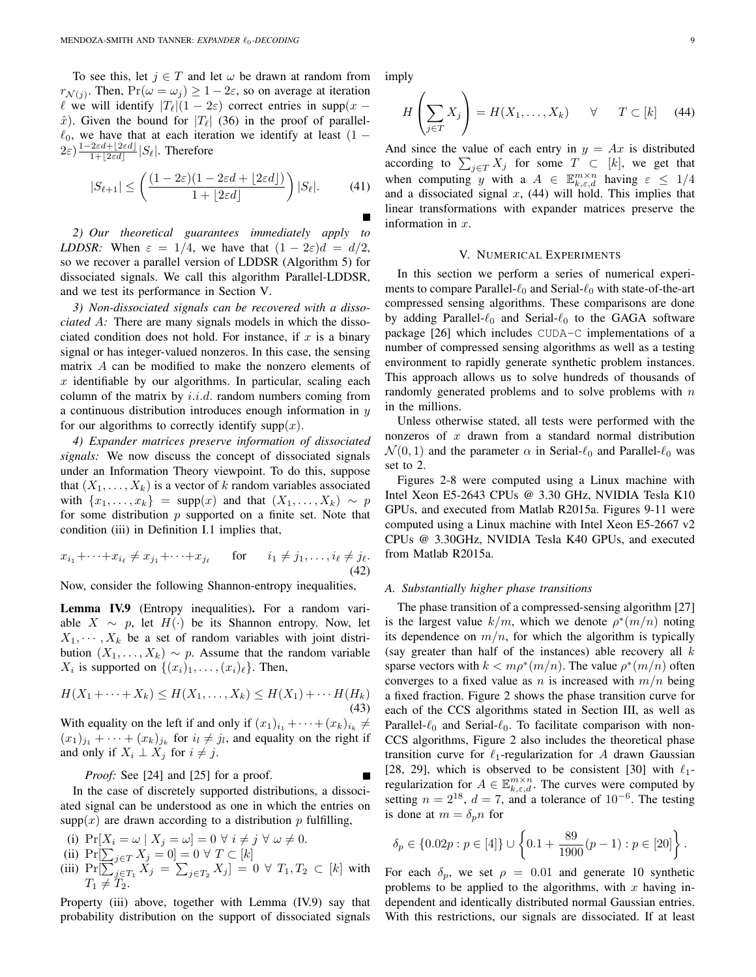To see this, let  $j \in T$  and let  $\omega$  be drawn at random from  $r_{\mathcal{N}(j)}$ . Then,  $Pr(\omega = \omega_j) \ge 1 - 2\varepsilon$ , so on average at iteration  $\ell$  we will identify  $|T_{\ell}|(1 - 2\varepsilon)$  correct entries in supp(x –  $\hat{x}$ ). Given the bound for  $|T_{\ell}|$  (36) in the proof of parallel- $\ell_0$ , we have that at each iteration we identify at least (1 −  $2\varepsilon$ ) $\frac{1-2\varepsilon d+\lfloor 2\varepsilon d\rfloor}{1+\lfloor 2\varepsilon d\rfloor}$  $\frac{2\epsilon a + 2\epsilon a}{1 + |2\epsilon d|} |S_\ell|$ . Therefore

$$
|S_{\ell+1}| \le \left(\frac{(1-2\varepsilon)(1-2\varepsilon d + \lfloor 2\varepsilon d \rfloor)}{1 + \lfloor 2\varepsilon d \rfloor}\right)|S_{\ell}|.\tag{41}
$$

*2) Our theoretical guarantees immediately apply to LDDSR:* When  $\varepsilon = 1/4$ , we have that  $(1 - 2\varepsilon)d = d/2$ , so we recover a parallel version of LDDSR (Algorithm 5) for dissociated signals. We call this algorithm Parallel-LDDSR, and we test its performance in Section V.

*3) Non-dissociated signals can be recovered with a dissociated* A*:* There are many signals models in which the dissociated condition does not hold. For instance, if  $x$  is a binary signal or has integer-valued nonzeros. In this case, the sensing matrix A can be modified to make the nonzero elements of  $x$  identifiable by our algorithms. In particular, scaling each column of the matrix by  $i.i.d.$  random numbers coming from a continuous distribution introduces enough information in  $y$ for our algorithms to correctly identify supp $(x)$ .

*4) Expander matrices preserve information of dissociated signals:* We now discuss the concept of dissociated signals under an Information Theory viewpoint. To do this, suppose that  $(X_1, \ldots, X_k)$  is a vector of k random variables associated with  $\{x_1, \ldots, x_k\}$  = supp(x) and that  $(X_1, \ldots, X_k) \sim p$ for some distribution  $p$  supported on a finite set. Note that condition (iii) in Definition I.1 implies that,

$$
x_{i_1} + \dots + x_{i_\ell} \neq x_{j_1} + \dots + x_{j_\ell} \quad \text{for} \quad i_1 \neq j_1, \dots, i_\ell \neq j_\ell.
$$
\n
$$
\tag{42}
$$

Now, consider the following Shannon-entropy inequalities,

Lemma IV.9 (Entropy inequalities). For a random variable  $X \sim p$ , let  $H(·)$  be its Shannon entropy. Now, let  $X_1, \dots, X_k$  be a set of random variables with joint distribution  $(X_1, \ldots, X_k) \sim p$ . Assume that the random variable  $X_i$  is supported on  $\{(x_i)_1, \ldots, (x_i)_\ell\}$ . Then,

$$
H(X_1 + \dots + X_k) \le H(X_1, \dots, X_k) \le H(X_1) + \dots + H(H_k)
$$
\n(43)

With equality on the left if and only if  $(x_1)_{i_1} + \cdots + (x_k)_{i_k} \neq$  $(x_1)_{j_1} + \cdots + (x_k)_{j_k}$  for  $i_l \neq j_l$ , and equality on the right if and only if  $X_i \perp X_j$  for  $i \neq j$ .

*Proof:* See [24] and [25] for a proof.

In the case of discretely supported distributions, a dissociated signal can be understood as one in which the entries on  $supp(x)$  are drawn according to a distribution p fulfilling,

- (i)  $\Pr[X_i = \omega \mid X_j = \omega] = 0 \ \forall \ i \neq j \ \forall \ \omega \neq 0.$
- (ii)  $\Pr[\sum_{j \in T} X_j = 0] = 0 \ \forall \ T \subset [k]$
- (iii)  $\Pr[\sum_{j \in T_1}^r X_j = \sum_{j \in T_2} X_j] = 0 \ \forall \ T_1, T_2 \subset [k]$  with  $T_1 \neq T_2.$

Property (iii) above, together with Lemma (IV.9) say that probability distribution on the support of dissociated signals imply

$$
H\left(\sum_{j\in T} X_j\right) = H(X_1,\ldots,X_k) \quad \forall \quad T \subset [k] \quad (44)
$$

And since the value of each entry in  $y = Ax$  is distributed according to  $\sum_{j\in T} X_j$  for some  $T \subset [k]$ , we get that when computing y with a  $A \in \mathbb{E}_{k,\varepsilon,d}^{m \times n}$  having  $\varepsilon \leq 1/4$ and a dissociated signal  $x$ , (44) will hold. This implies that linear transformations with expander matrices preserve the information in  $x$ .

#### V. NUMERICAL EXPERIMENTS

In this section we perform a series of numerical experiments to compare Parallel- $\ell_0$  and Serial- $\ell_0$  with state-of-the-art compressed sensing algorithms. These comparisons are done by adding Parallel- $\ell_0$  and Serial- $\ell_0$  to the GAGA software package [26] which includes CUDA-C implementations of a number of compressed sensing algorithms as well as a testing environment to rapidly generate synthetic problem instances. This approach allows us to solve hundreds of thousands of randomly generated problems and to solve problems with  $n$ in the millions.

Unless otherwise stated, all tests were performed with the nonzeros of  $x$  drawn from a standard normal distribution  $\mathcal{N}(0, 1)$  and the parameter  $\alpha$  in Serial- $\ell_0$  and Parallel- $\ell_0$  was set to 2.

Figures 2-8 were computed using a Linux machine with Intel Xeon E5-2643 CPUs @ 3.30 GHz, NVIDIA Tesla K10 GPUs, and executed from Matlab R2015a. Figures 9-11 were computed using a Linux machine with Intel Xeon E5-2667 v2 CPUs @ 3.30GHz, NVIDIA Tesla K40 GPUs, and executed from Matlab R2015a.

## *A. Substantially higher phase transitions*

The phase transition of a compressed-sensing algorithm [27] is the largest value  $k/m$ , which we denote  $\rho^*(m/n)$  noting its dependence on  $m/n$ , for which the algorithm is typically (say greater than half of the instances) able recovery all  $k$ sparse vectors with  $k < m\rho^*(m/n)$ . The value  $\rho^*(m/n)$  often converges to a fixed value as n is increased with  $m/n$  being a fixed fraction. Figure 2 shows the phase transition curve for each of the CCS algorithms stated in Section III, as well as Parallel- $\ell_0$  and Serial- $\ell_0$ . To facilitate comparison with non-CCS algorithms, Figure 2 also includes the theoretical phase transition curve for  $\ell_1$ -regularization for A drawn Gaussian [28, 29], which is observed to be consistent [30] with  $\ell_1$ regularization for  $A \in \mathbb{E}_{k,\varepsilon,d}^{m \times n}$ . The curves were computed by setting  $n = 2^{18}$ ,  $d = 7$ , and a tolerance of  $10^{-6}$ . The testing is done at  $m = \delta_n n$  for

$$
\delta_p \in \{0.02p: p \in [4]\} \cup \left\{0.1 + \frac{89}{1900}(p-1): p \in [20]\right\}.
$$

For each  $\delta_p$ , we set  $\rho = 0.01$  and generate 10 synthetic problems to be applied to the algorithms, with  $x$  having independent and identically distributed normal Gaussian entries. With this restrictions, our signals are dissociated. If at least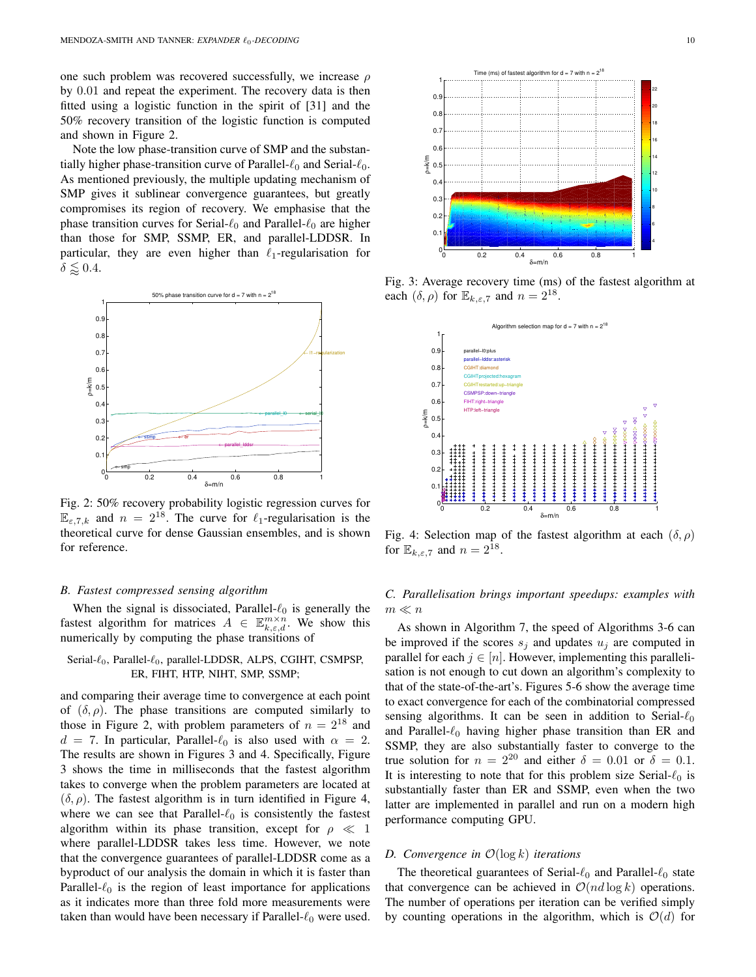one such problem was recovered successfully, we increase  $\rho$ by 0.01 and repeat the experiment. The recovery data is then fitted using a logistic function in the spirit of [31] and the 50% recovery transition of the logistic function is computed and shown in Figure 2.

Note the low phase-transition curve of SMP and the substantially higher phase-transition curve of Parallel- $\ell_0$  and Serial- $\ell_0$ . As mentioned previously, the multiple updating mechanism of SMP gives it sublinear convergence guarantees, but greatly compromises its region of recovery. We emphasise that the phase transition curves for Serial- $\ell_0$  and Parallel- $\ell_0$  are higher than those for SMP, SSMP, ER, and parallel-LDDSR. In particular, they are even higher than  $\ell_1$ -regularisation for  $\delta \lessapprox 0.4.$ 



Fig. 2: 50% recovery probability logistic regression curves for  $\mathbb{E}_{\epsilon,7,k}$  and  $n = 2^{18}$ . The curve for  $\ell_1$ -regularisation is the theoretical curve for dense Gaussian ensembles, and is shown for reference.

## *B. Fastest compressed sensing algorithm*

When the signal is dissociated, Parallel- $\ell_0$  is generally the fastest algorithm for matrices  $A \in \mathbb{E}_{k,\varepsilon,d}^{m \times n}$ . We show this numerically by computing the phase transitions of

# Serial- $\ell_0$ , Parallel- $\ell_0$ , parallel-LDDSR, ALPS, CGIHT, CSMPSP, ER, FIHT, HTP, NIHT, SMP, SSMP;

and comparing their average time to convergence at each point of  $(\delta, \rho)$ . The phase transitions are computed similarly to those in Figure 2, with problem parameters of  $n = 2^{18}$  and  $d = 7$ . In particular, Parallel- $\ell_0$  is also used with  $\alpha = 2$ . The results are shown in Figures 3 and 4. Specifically, Figure 3 shows the time in milliseconds that the fastest algorithm takes to converge when the problem parameters are located at  $(\delta, \rho)$ . The fastest algorithm is in turn identified in Figure 4, where we can see that Parallel- $\ell_0$  is consistently the fastest algorithm within its phase transition, except for  $\rho \ll 1$ where parallel-LDDSR takes less time. However, we note that the convergence guarantees of parallel-LDDSR come as a byproduct of our analysis the domain in which it is faster than Parallel- $\ell_0$  is the region of least importance for applications as it indicates more than three fold more measurements were taken than would have been necessary if Parallel- $\ell_0$  were used.



Fig. 3: Average recovery time (ms) of the fastest algorithm at each  $(\delta, \rho)$  for  $\mathbb{E}_{k,\varepsilon,7}$  and  $n = 2^{18}$ .



Fig. 4: Selection map of the fastest algorithm at each  $(\delta, \rho)$ for  $\mathbb{E}_{k,\varepsilon,7}$  and  $n = 2^{\overline{1}8}$ .

*C. Parallelisation brings important speedups: examples with*  $m \ll n$ 

As shown in Algorithm 7, the speed of Algorithms 3-6 can be improved if the scores  $s_i$  and updates  $u_i$  are computed in parallel for each  $j \in [n]$ . However, implementing this parallelisation is not enough to cut down an algorithm's complexity to that of the state-of-the-art's. Figures 5-6 show the average time to exact convergence for each of the combinatorial compressed sensing algorithms. It can be seen in addition to Serial- $\ell_0$ and Parallel- $\ell_0$  having higher phase transition than ER and SSMP, they are also substantially faster to converge to the true solution for  $n = 2^{20}$  and either  $\delta = 0.01$  or  $\delta = 0.1$ . It is interesting to note that for this problem size Serial- $\ell_0$  is substantially faster than ER and SSMP, even when the two latter are implemented in parallel and run on a modern high performance computing GPU.

# *D. Convergence in* O(log k) *iterations*

The theoretical guarantees of Serial- $\ell_0$  and Parallel- $\ell_0$  state that convergence can be achieved in  $\mathcal{O}(nd \log k)$  operations. The number of operations per iteration can be verified simply by counting operations in the algorithm, which is  $\mathcal{O}(d)$  for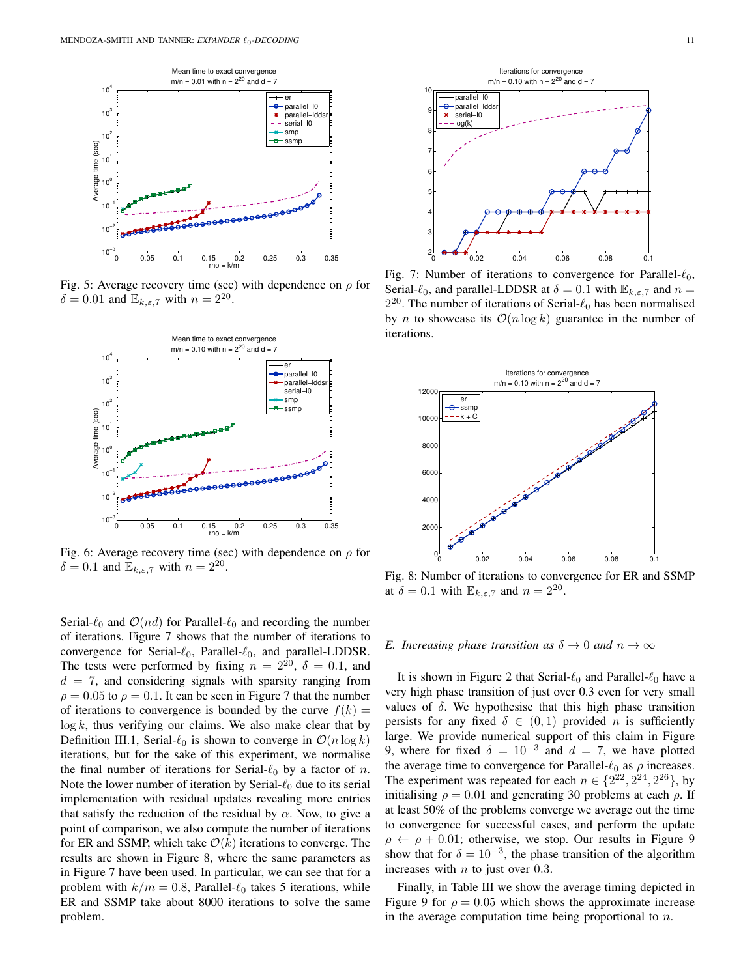

Fig. 5: Average recovery time (sec) with dependence on  $\rho$  for  $\delta = 0.01$  and  $\mathbb{E}_{k,\varepsilon,7}$  with  $n = 2^{20}$ .



Fig. 6: Average recovery time (sec) with dependence on  $\rho$  for  $\delta = 0.1$  and  $\mathbb{E}_{k,\varepsilon,7}$  with  $n = 2^{20}$ .

Serial- $\ell_0$  and  $\mathcal{O}(nd)$  for Parallel- $\ell_0$  and recording the number of iterations. Figure 7 shows that the number of iterations to convergence for Serial- $\ell_0$ , Parallel- $\ell_0$ , and parallel-LDDSR. The tests were performed by fixing  $n = 2^{20}$ ,  $\delta = 0.1$ , and  $d = 7$ , and considering signals with sparsity ranging from  $\rho = 0.05$  to  $\rho = 0.1$ . It can be seen in Figure 7 that the number of iterations to convergence is bounded by the curve  $f(k) =$  $\log k$ , thus verifying our claims. We also make clear that by Definition III.1, Serial- $\ell_0$  is shown to converge in  $\mathcal{O}(n \log k)$ iterations, but for the sake of this experiment, we normalise the final number of iterations for Serial- $\ell_0$  by a factor of n. Note the lower number of iteration by Serial- $\ell_0$  due to its serial implementation with residual updates revealing more entries that satisfy the reduction of the residual by  $\alpha$ . Now, to give a point of comparison, we also compute the number of iterations for ER and SSMP, which take  $\mathcal{O}(k)$  iterations to converge. The results are shown in Figure 8, where the same parameters as in Figure 7 have been used. In particular, we can see that for a problem with  $k/m = 0.8$ , Parallel- $\ell_0$  takes 5 iterations, while ER and SSMP take about 8000 iterations to solve the same problem.



Fig. 7: Number of iterations to convergence for Parallel- $\ell_0$ , Serial- $\ell_0$ , and parallel-LDDSR at  $\delta = 0.1$  with  $\mathbb{E}_{k,\epsilon,7}$  and  $n =$  $2^{20}$ . The number of iterations of Serial- $\ell_0$  has been normalised by *n* to showcase its  $O(n \log k)$  guarantee in the number of iterations.



Fig. 8: Number of iterations to convergence for ER and SSMP at  $\delta = 0.1$  with  $\mathbb{E}_{k,\varepsilon,7}$  and  $n = 2^{20}$ .

## *E. Increasing phase transition as*  $\delta \to 0$  *and*  $n \to \infty$

It is shown in Figure 2 that Serial- $\ell_0$  and Parallel- $\ell_0$  have a very high phase transition of just over 0.3 even for very small values of  $\delta$ . We hypothesise that this high phase transition persists for any fixed  $\delta \in (0,1)$  provided *n* is sufficiently large. We provide numerical support of this claim in Figure 9, where for fixed  $\delta = 10^{-3}$  and  $d = 7$ , we have plotted the average time to convergence for Parallel- $\ell_0$  as  $\rho$  increases. The experiment was repeated for each  $n \in \{2^{22}, 2^{24}, 2^{26}\}\,$  by initialising  $\rho = 0.01$  and generating 30 problems at each  $\rho$ . If at least 50% of the problems converge we average out the time to convergence for successful cases, and perform the update  $\rho \leftarrow \rho + 0.01$ ; otherwise, we stop. Our results in Figure 9 show that for  $\delta = 10^{-3}$ , the phase transition of the algorithm increases with  $n$  to just over 0.3.

Finally, in Table III we show the average timing depicted in Figure 9 for  $\rho = 0.05$  which shows the approximate increase in the average computation time being proportional to  $n$ .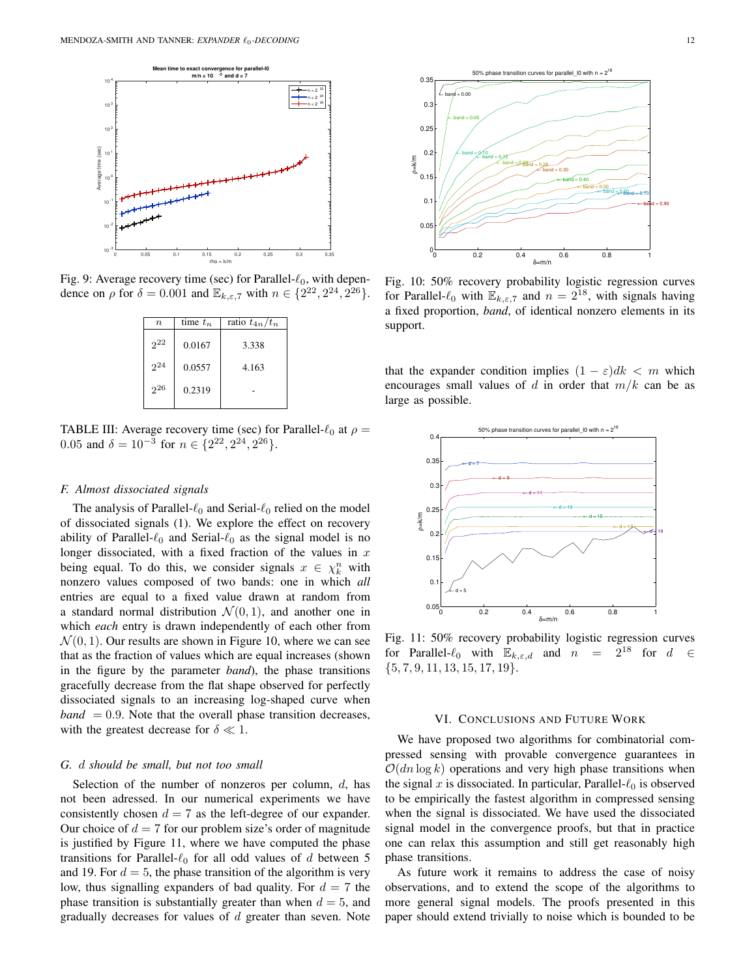

Fig. 9: Average recovery time (sec) for Parallel- $\ell_0$ , with dependence on  $\rho$  for  $\delta = 0.001$  and  $\mathbb{E}_{k,\varepsilon,7}$  with  $n \in \{2^{22}, 2^{24}, 2^{26}\}.$ 

| $n_{\cdot}$ | time $t_n$ | ratio $t_{4n}/t_n$ |
|-------------|------------|--------------------|
| $2^{22}$    | 0.0167     | 3.338              |
| $2^{24}$    | 0.0557     | 4.163              |
| 226         | 0.2319     |                    |
|             |            |                    |

TABLE III: Average recovery time (sec) for Parallel- $\ell_0$  at  $\rho =$ 0.05 and  $\delta = 10^{-3}$  for  $n \in \{2^{22}, 2^{24}, 2^{26}\}.$ 

# *F. Almost dissociated signals*

The analysis of Parallel- $\ell_0$  and Serial- $\ell_0$  relied on the model of dissociated signals (1). We explore the effect on recovery ability of Parallel- $\ell_0$  and Serial- $\ell_0$  as the signal model is no longer dissociated, with a fixed fraction of the values in  $x$ being equal. To do this, we consider signals  $x \in \chi_k^n$  with nonzero values composed of two bands: one in which *all* entries are equal to a fixed value drawn at random from a standard normal distribution  $\mathcal{N}(0, 1)$ , and another one in which *each* entry is drawn independently of each other from  $\mathcal{N}(0, 1)$ . Our results are shown in Figure 10, where we can see that as the fraction of values which are equal increases (shown in the figure by the parameter *band*), the phase transitions gracefully decrease from the flat shape observed for perfectly dissociated signals to an increasing log-shaped curve when  $band = 0.9$ . Note that the overall phase transition decreases, with the greatest decrease for  $\delta \ll 1$ .

#### *G.* d *should be small, but not too small*

Selection of the number of nonzeros per column,  $d$ , has not been adressed. In our numerical experiments we have consistently chosen  $d = 7$  as the left-degree of our expander. Our choice of  $d = 7$  for our problem size's order of magnitude is justified by Figure 11, where we have computed the phase transitions for Parallel- $\ell_0$  for all odd values of d between 5 and 19. For  $d = 5$ , the phase transition of the algorithm is very low, thus signalling expanders of bad quality. For  $d = 7$  the phase transition is substantially greater than when  $d = 5$ , and gradually decreases for values of  $d$  greater than seven. Note



Fig. 10: 50% recovery probability logistic regression curves for Parallel- $\ell_0$  with  $\mathbb{E}_{k,\varepsilon,7}$  and  $n = 2^{18}$ , with signals having a fixed proportion, *band*, of identical nonzero elements in its support.

that the expander condition implies  $(1 - \varepsilon)dk < m$  which encourages small values of d in order that  $m/k$  can be as large as possible.



Fig. 11: 50% recovery probability logistic regression curves for Parallel- $\ell_0$  with  $\mathbb{E}_{k,\varepsilon,d}$  and  $n = 2^{18}$  for  $d \in$  $\{5, 7, 9, 11, 13, 15, 17, 19\}.$ 

# VI. CONCLUSIONS AND FUTURE WORK

We have proposed two algorithms for combinatorial compressed sensing with provable convergence guarantees in  $O(dn \log k)$  operations and very high phase transitions when the signal x is dissociated. In particular, Parallel- $\ell_0$  is observed to be empirically the fastest algorithm in compressed sensing when the signal is dissociated. We have used the dissociated signal model in the convergence proofs, but that in practice one can relax this assumption and still get reasonably high phase transitions.

As future work it remains to address the case of noisy observations, and to extend the scope of the algorithms to more general signal models. The proofs presented in this paper should extend trivially to noise which is bounded to be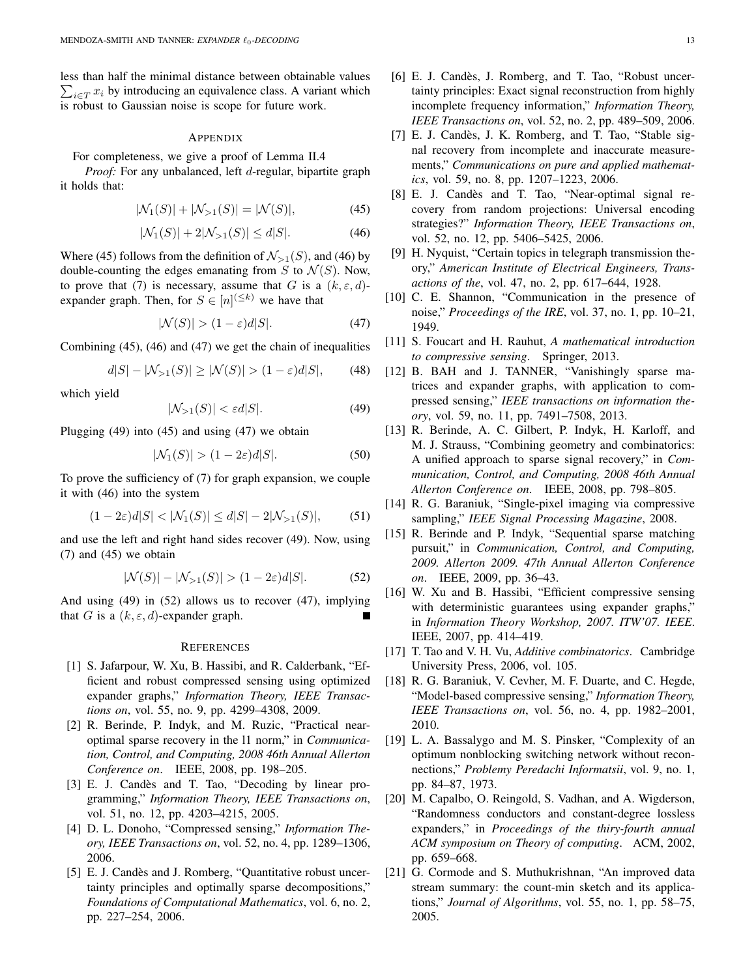less than half the minimal distance between obtainable values  $\sum_{i \in T} x_i$  by introducing an equivalence class. A variant which is robust to Gaussian noise is scope for future work.

# APPENDIX

For completeness, we give a proof of Lemma II.4

*Proof:* For any unbalanced, left d-regular, bipartite graph it holds that:

$$
|\mathcal{N}_1(S)| + |\mathcal{N}_{>1}(S)| = |\mathcal{N}(S)|,\tag{45}
$$

$$
|\mathcal{N}_1(S)| + 2|\mathcal{N}_{>1}(S)| \le d|S|. \tag{46}
$$

Where (45) follows from the definition of  $\mathcal{N}_{>1}(S)$ , and (46) by double-counting the edges emanating from  $S$  to  $\mathcal{N}(S)$ . Now, to prove that (7) is necessary, assume that G is a  $(k, \varepsilon, d)$ expander graph. Then, for  $S \in [n]^{(\leq k)}$  we have that

$$
|\mathcal{N}(S)| > (1 - \varepsilon)d|S|.\tag{47}
$$

Combining (45), (46) and (47) we get the chain of inequalities

$$
d|S| - |\mathcal{N}_{>1}(S)| \ge |\mathcal{N}(S)| > (1 - \varepsilon)d|S|,
$$
 (48)

which yield

$$
|\mathcal{N}_{>1}(S)| < \varepsilon d|S|.\tag{49}
$$

Plugging (49) into (45) and using (47) we obtain

$$
|\mathcal{N}_1(S)| > (1 - 2\varepsilon)d|S|.\tag{50}
$$

To prove the sufficiency of (7) for graph expansion, we couple it with (46) into the system

$$
(1 - 2\varepsilon)d|S| < |\mathcal{N}_1(S)| \le d|S| - 2|\mathcal{N}_{>1}(S)|,\tag{51}
$$

and use the left and right hand sides recover (49). Now, using (7) and (45) we obtain

$$
|\mathcal{N}(S)| - |\mathcal{N}_{>1}(S)| > (1 - 2\varepsilon)d|S|. \tag{52}
$$

And using (49) in (52) allows us to recover (47), implying that G is a  $(k, \varepsilon, d)$ -expander graph.

#### **REFERENCES**

- [1] S. Jafarpour, W. Xu, B. Hassibi, and R. Calderbank, "Efficient and robust compressed sensing using optimized expander graphs," *Information Theory, IEEE Transactions on*, vol. 55, no. 9, pp. 4299–4308, 2009.
- [2] R. Berinde, P. Indyk, and M. Ruzic, "Practical nearoptimal sparse recovery in the l1 norm," in *Communication, Control, and Computing, 2008 46th Annual Allerton Conference on*. IEEE, 2008, pp. 198–205.
- [3] E. J. Candès and T. Tao, "Decoding by linear programming," *Information Theory, IEEE Transactions on*, vol. 51, no. 12, pp. 4203–4215, 2005.
- [4] D. L. Donoho, "Compressed sensing," *Information Theory, IEEE Transactions on*, vol. 52, no. 4, pp. 1289–1306, 2006.
- [5] E. J. Candès and J. Romberg, "Quantitative robust uncertainty principles and optimally sparse decompositions," *Foundations of Computational Mathematics*, vol. 6, no. 2, pp. 227–254, 2006.
- [7] E. J. Candès, J. K. Romberg, and T. Tao, "Stable signal recovery from incomplete and inaccurate measurements," *Communications on pure and applied mathematics*, vol. 59, no. 8, pp. 1207–1223, 2006.
- [8] E. J. Candès and T. Tao, "Near-optimal signal recovery from random projections: Universal encoding strategies?" *Information Theory, IEEE Transactions on*, vol. 52, no. 12, pp. 5406–5425, 2006.
- [9] H. Nyquist, "Certain topics in telegraph transmission theory," *American Institute of Electrical Engineers, Transactions of the*, vol. 47, no. 2, pp. 617–644, 1928.
- [10] C. E. Shannon, "Communication in the presence of noise," *Proceedings of the IRE*, vol. 37, no. 1, pp. 10–21, 1949.
- [11] S. Foucart and H. Rauhut, *A mathematical introduction to compressive sensing*. Springer, 2013.
- [12] B. BAH and J. TANNER, "Vanishingly sparse matrices and expander graphs, with application to compressed sensing," *IEEE transactions on information theory*, vol. 59, no. 11, pp. 7491–7508, 2013.
- [13] R. Berinde, A. C. Gilbert, P. Indyk, H. Karloff, and M. J. Strauss, "Combining geometry and combinatorics: A unified approach to sparse signal recovery," in *Communication, Control, and Computing, 2008 46th Annual Allerton Conference on*. IEEE, 2008, pp. 798–805.
- [14] R. G. Baraniuk, "Single-pixel imaging via compressive sampling," *IEEE Signal Processing Magazine*, 2008.
- [15] R. Berinde and P. Indyk, "Sequential sparse matching pursuit," in *Communication, Control, and Computing, 2009. Allerton 2009. 47th Annual Allerton Conference on*. IEEE, 2009, pp. 36–43.
- [16] W. Xu and B. Hassibi, "Efficient compressive sensing with deterministic guarantees using expander graphs," in *Information Theory Workshop, 2007. ITW'07. IEEE*. IEEE, 2007, pp. 414–419.
- [17] T. Tao and V. H. Vu, *Additive combinatorics*. Cambridge University Press, 2006, vol. 105.
- [18] R. G. Baraniuk, V. Cevher, M. F. Duarte, and C. Hegde, "Model-based compressive sensing," *Information Theory, IEEE Transactions on*, vol. 56, no. 4, pp. 1982–2001, 2010.
- [19] L. A. Bassalygo and M. S. Pinsker, "Complexity of an optimum nonblocking switching network without reconnections," *Problemy Peredachi Informatsii*, vol. 9, no. 1, pp. 84–87, 1973.
- [20] M. Capalbo, O. Reingold, S. Vadhan, and A. Wigderson, "Randomness conductors and constant-degree lossless expanders," in *Proceedings of the thiry-fourth annual ACM symposium on Theory of computing*. ACM, 2002, pp. 659–668.
- [21] G. Cormode and S. Muthukrishnan, "An improved data stream summary: the count-min sketch and its applications," *Journal of Algorithms*, vol. 55, no. 1, pp. 58–75, 2005.